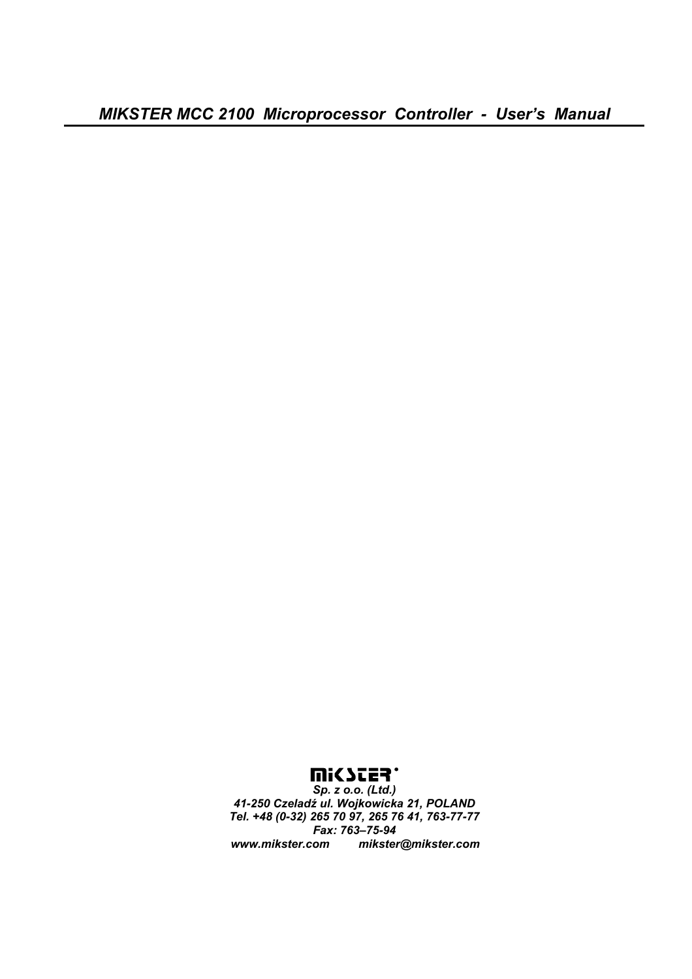*MIKSTER MCC 2100 Microprocessor Controller - User's Manual* 

*Sp. z o.o. (Ltd.) 41-250 Czeladź ul. Wojkowicka 21, POLAND Tel. +48 (0-32) 265 70 97, 265 76 41, 763-77-77 Fax: 763–75-94 www.mikster.com mikster@mikster.com*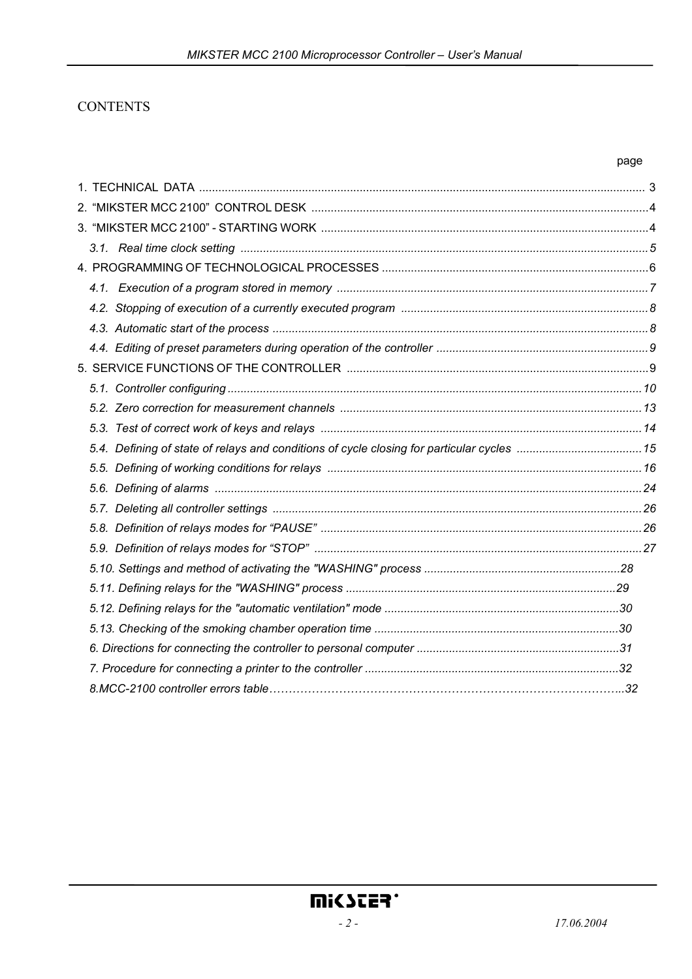## **CONTENTS**

#### page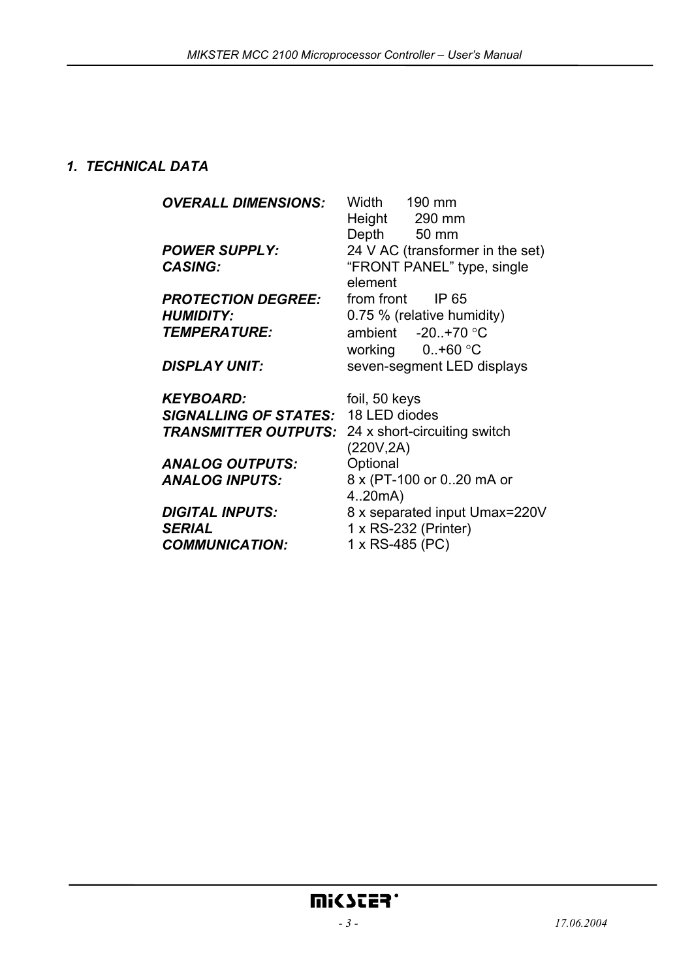## *1. TECHNICAL DATA*

*OVERALL DIMENSIONS:* Width 190 mm Height 290 mm Depth 50 mm *POWER SUPPLY:* 24 V AC (transformer in the set) CASING: "FRONT PANEL" type, single element **PROTECTION DEGREE:** from front IP 65 *HUMIDITY:* 0.75 % (relative humidity) *TEMPERATURE:* ambient -20..+70 °C working 0..+60 °C **DISPLAY UNIT:** seven-segment LED displays *KEYBOARD:* foil, 50 keys *SIGNALLING OF STATES:* 18 LED diodes *TRANSMITTER OUTPUTS:* 24 x short-circuiting switch (220V,2A) ANALOG OUTPUTS: Optional *ANALOG INPUTS:* 8 x (PT-100 or 0..20 mA or 4..20mA) *DIGITAL INPUTS:* 8 x separated input Umax=220V *SERIAL COMMUNICATION:*  1 x RS-232 (Printer) 1 x RS-485 (PC)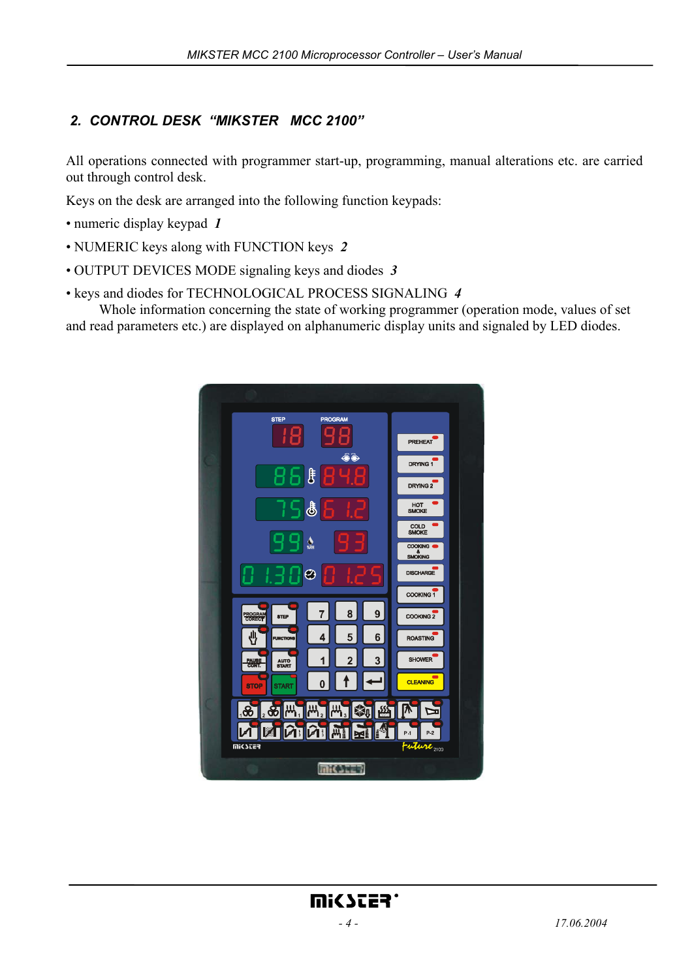# *2. CONTROL DESK "MIKSTER MCC 2100"*

All operations connected with programmer start-up, programming, manual alterations etc. are carried out through control desk.

Keys on the desk are arranged into the following function keypads:

- numeric display keypad *1*
- NUMERIC keys along with FUNCTION keys *2*
- OUTPUT DEVICES MODE signaling keys and diodes *3*
- keys and diodes for TECHNOLOGICAL PROCESS SIGNALING *4*

 Whole information concerning the state of working programmer (operation mode, values of set and read parameters etc.) are displayed on alphanumeric display units and signaled by LED diodes.

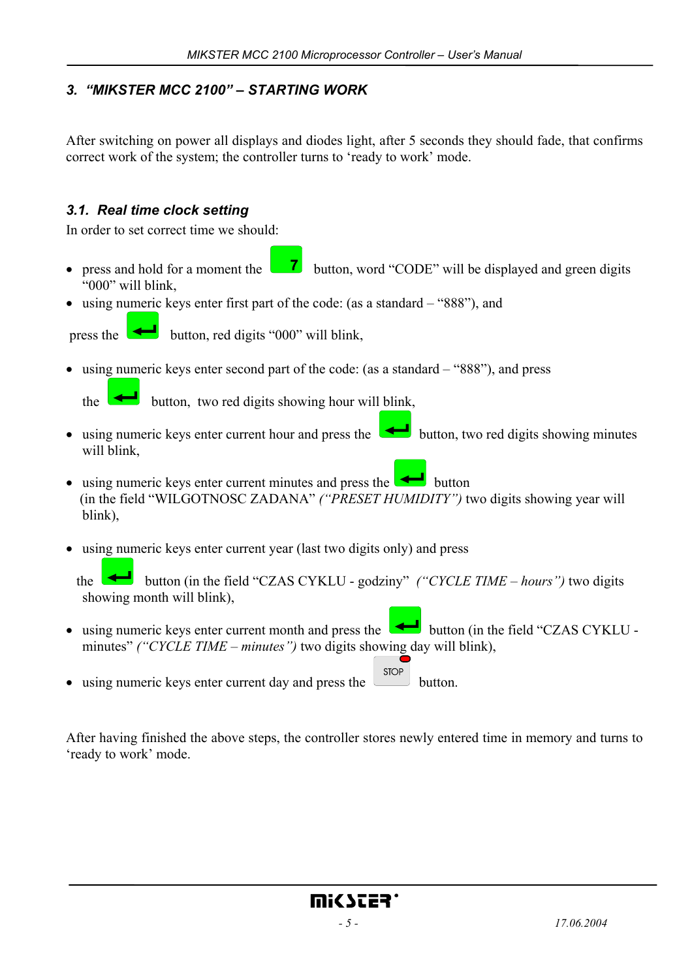# *3. "MIKSTER MCC 2100" – STARTING WORK*

After switching on power all displays and diodes light, after 5 seconds they should fade, that confirms correct work of the system; the controller turns to 'ready to work' mode.

## *3.1. Real time clock setting*

In order to set correct time we should:

- press and hold for a moment the **button**, word "CODE" will be displayed and green digits "000" will blink,
- using numeric keys enter first part of the code: (as a standard "888"), and



press the **button**, red digits "000" will blink,

• using numeric keys enter second part of the code: (as a standard – "888"), and press

the **button**, two red digits showing hour will blink,

- using numeric keys enter current hour and press the button, two red digits showing minutes will blink,
- using numeric keys enter current minutes and press the  $\bullet$  button (in the field "WILGOTNOSC ZADANA" *("PRESET HUMIDITY")* two digits showing year will blink),
- using numeric keys enter current year (last two digits only) and press

the **button** (in the field "CZAS CYKLU - godziny" *("CYCLE TIME – hours")* two digits showing month will blink),

• using numeric keys enter current month and press the  $\Box$  button (in the field "CZAS CYKLU minutes" *("CYCLE TIME – minutes")* two digits showing day will blink),

**STOP** • using numeric keys enter current day and press the button.

After having finished the above steps, the controller stores newly entered time in memory and turns to 'ready to work' mode.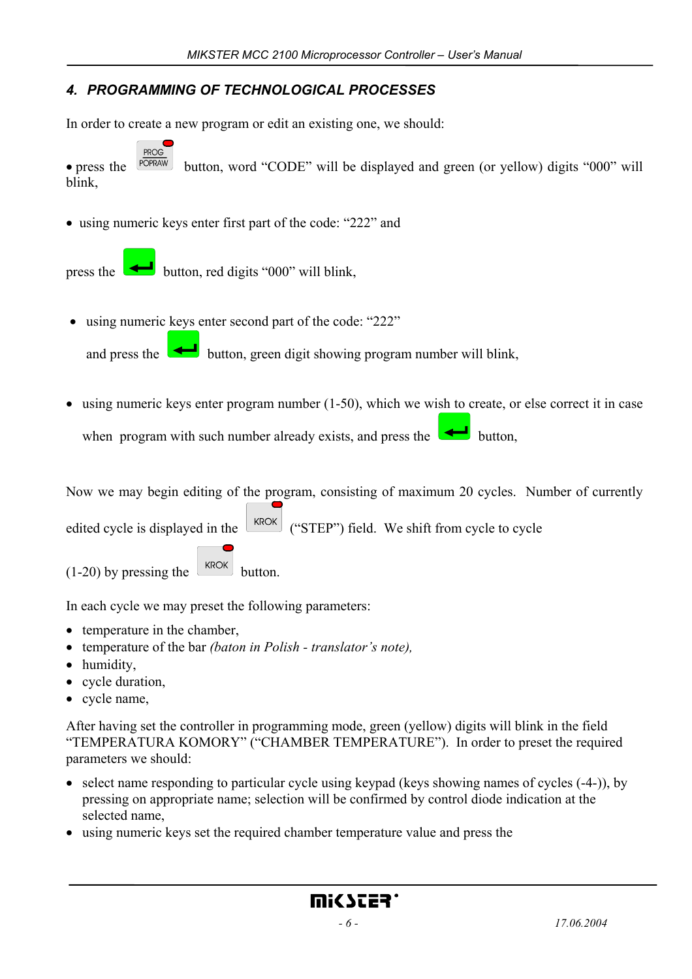# *4. PROGRAMMING OF TECHNOLOGICAL PROCESSES*

In order to create a new program or edit an existing one, we should:

**PROG** • press the  $\sqrt{\frac{POPRAM}{POPRAM}}$  button, word "CODE" will be displayed and green (or yellow) digits "000" will blink,

• using numeric keys enter first part of the code: "222" and

press the **button**, red digits "000" will blink,

• using numeric keys enter second part of the code: "222"

and press the **button**, green digit showing program number will blink,

 $\bullet$  using numeric keys enter program number (1-50), which we wish to create, or else correct it in case when program with such number already exists, and press the **button**,

Now we may begin editing of the program, consisting of maximum 20 cycles. Number of currently edited cycle is displayed in the  $\left\lfloor \frac{kROK}{N} \right\rfloor$  ("STEP") field. We shift from cycle to cycle

 $(1-20)$  by pressing the  $\left[\frac{kROK}{R}\right]$  button.

In each cycle we may preset the following parameters:

- temperature in the chamber,
- temperature of the bar *(baton in Polish translator's note),*
- humidity,
- cycle duration,
- cycle name,

After having set the controller in programming mode, green (yellow) digits will blink in the field "TEMPERATURA KOMORY" ("CHAMBER TEMPERATURE"). In order to preset the required parameters we should:

- select name responding to particular cycle using keypad (keys showing names of cycles (-4-)), by pressing on appropriate name; selection will be confirmed by control diode indication at the selected name,
- using numeric keys set the required chamber temperature value and press the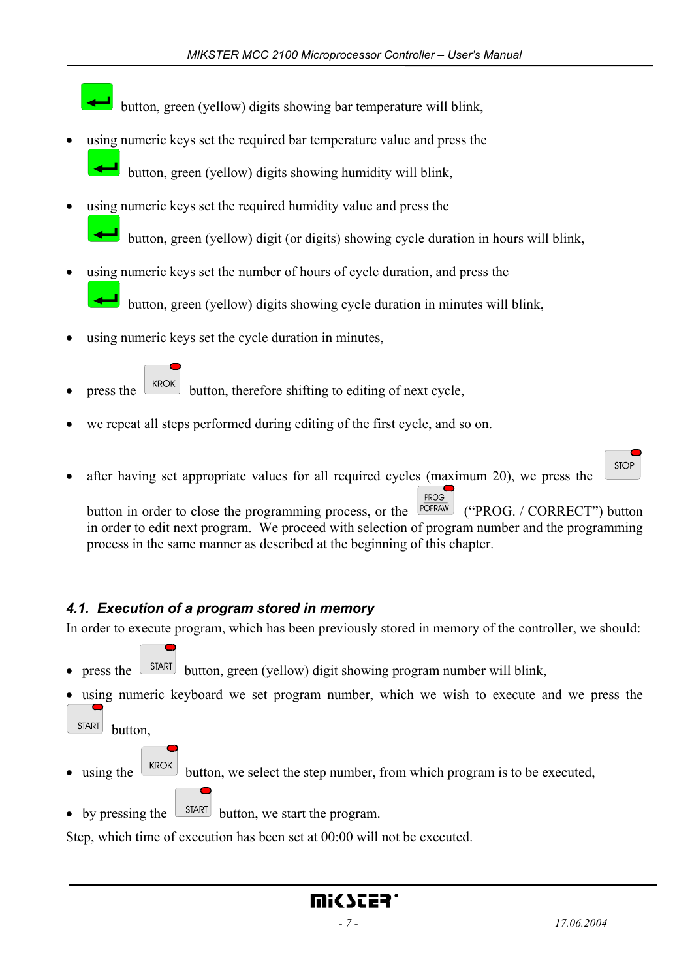button, green (yellow) digits showing bar temperature will blink,

using numeric keys set the required bar temperature value and press the

button, green (yellow) digits showing humidity will blink,

- using numeric keys set the required humidity value and press the button, green (yellow) digit (or digits) showing cycle duration in hours will blink,
- using numeric keys set the number of hours of cycle duration, and press the button, green (yellow) digits showing cycle duration in minutes will blink,
- using numeric keys set the cycle duration in minutes,
- press the  $\left\lfloor \frac{kROK}{R}\right\rfloor$  button, therefore shifting to editing of next cycle,
- we repeat all steps performed during editing of the first cycle, and so on.
- after having set appropriate values for all required cycles (maximum 20), we press the

PROG button in order to close the programming process, or the <sup>[POPRAW]</sup> ("PROG. / CORRECT") button in order to edit next program. We proceed with selection of program number and the programming process in the same manner as described at the beginning of this chapter.

# *4.1. Execution of a program stored in memory*

In order to execute program, which has been previously stored in memory of the controller, we should:

- press the  $\left[\begin{array}{cc} \text{START} \\ \text{Button} \end{array}\right]$  button, green (yellow) digit showing program number will blink,
- using numeric keyboard we set program number, which we wish to execute and we press the **START**

button,

- using the  $\lfloor$  KROK button, we select the step number, from which program is to be executed,
- by pressing the  $\boxed{\text{STAT}}$  button, we start the program.

Step, which time of execution has been set at 00:00 will not be executed.

**STOP**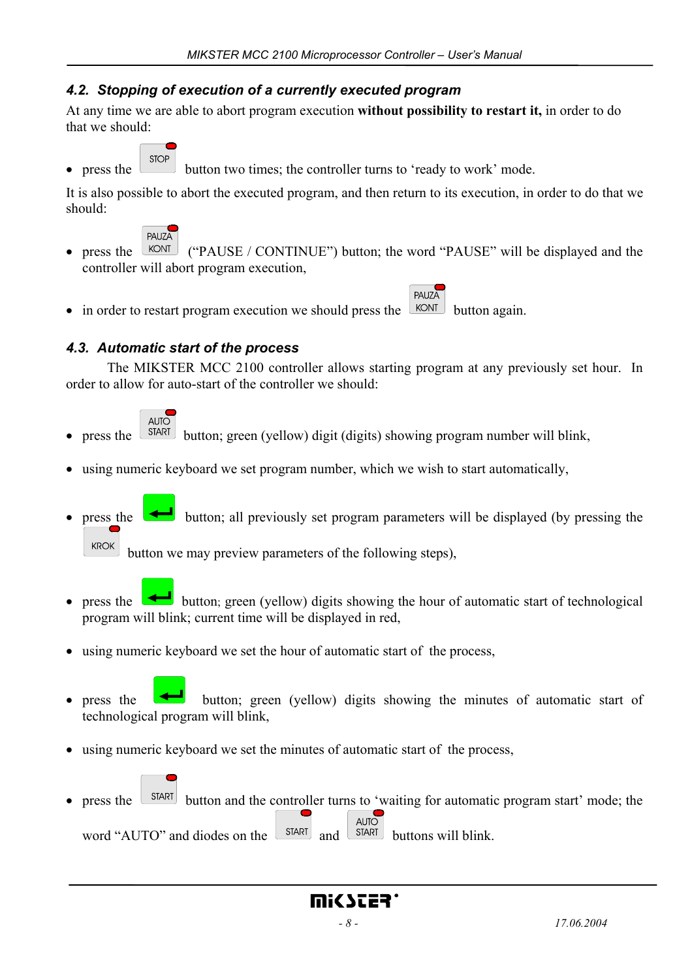## *4.2. Stopping of execution of a currently executed program*

At any time we are able to abort program execution **without possibility to restart it,** in order to do that we should:

**STOP** 

press the button two times; the controller turns to 'ready to work' mode.

It is also possible to abort the executed program, and then return to its execution, in order to do that we should:



press the  $\sqrt{\frac{\text{KONT}}{\text{W}}}\$  ("PAUSE / CONTINUE") button; the word "PAUSE" will be displayed and the controller will abort program execution,

PAUZA

• in order to restart program execution we should press the  $\sqrt{\text{KONT}}$  button again.

## *4.3. Automatic start of the process*

 The MIKSTER MCC 2100 controller allows starting program at any previously set hour. In order to allow for auto-start of the controller we should:



- press the  $\sqrt{\frac{SIART}{SIART}}$  button; green (yellow) digit (digits) showing program number will blink,
- using numeric keyboard we set program number, which we wish to start automatically,
- press the **button**; all previously set program parameters will be displayed (by pressing the **KROK**

button we may preview parameters of the following steps),

- press the button; green (yellow) digits showing the hour of automatic start of technological program will blink; current time will be displayed in red,
- using numeric keyboard we set the hour of automatic start of the process,
- press the button; green (yellow) digits showing the minutes of automatic start of technological program will blink,
- using numeric keyboard we set the minutes of automatic start of the process,
	-
- press the  $\sqrt{\frac{SIART}{H}}$  button and the controller turns to 'waiting for automatic program start' mode; the **AUTO** word "AUTO" and diodes on the  $\left[\begin{array}{cc} \text{SIART} \\ \text{SIART} \end{array}\right]$  and  $\left[\begin{array}{cc} \text{SIART} \\ \text{SIART} \end{array}\right]$  buttons will blink.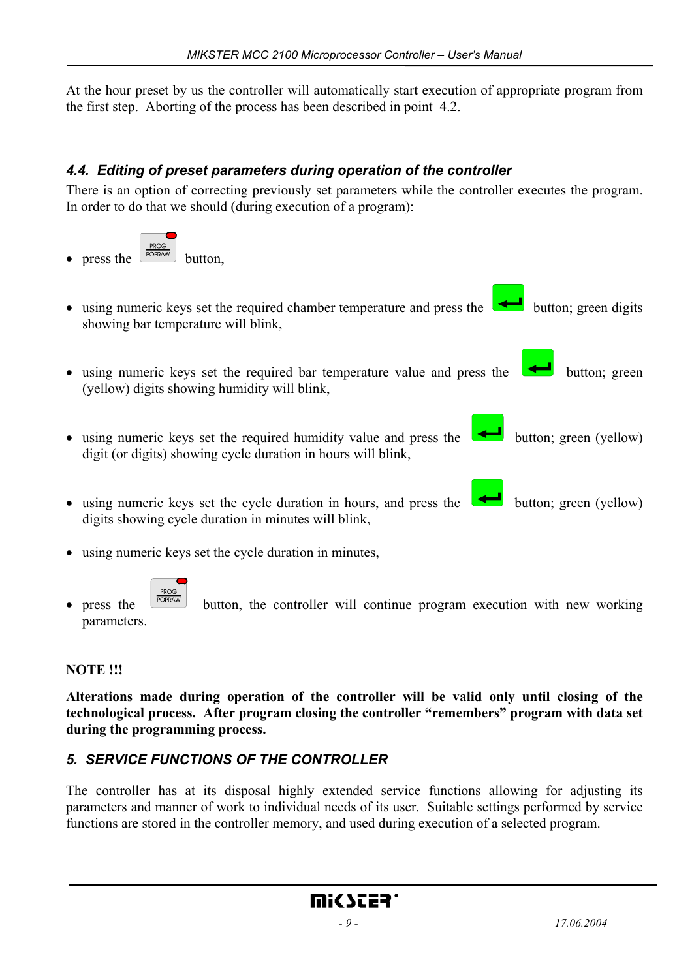At the hour preset by us the controller will automatically start execution of appropriate program from the first step. Aborting of the process has been described in point 4.2.

# *4.4. Editing of preset parameters during operation of the controller*

There is an option of correcting previously set parameters while the controller executes the program. In order to do that we should (during execution of a program):



- using numeric keys set the cycle duration in minutes,
- press the  $\left[\begin{array}{cc} \frac{PROG}{POPROX} \\ \hline \end{array}\right]$  button, the controller will continue program execution with new working parameters.

## **NOTE !!!**

**Alterations made during operation of the controller will be valid only until closing of the technological process. After program closing the controller "remembers" program with data set during the programming process.** 

## *5. SERVICE FUNCTIONS OF THE CONTROLLER*

The controller has at its disposal highly extended service functions allowing for adjusting its parameters and manner of work to individual needs of its user. Suitable settings performed by service functions are stored in the controller memory, and used during execution of a selected program.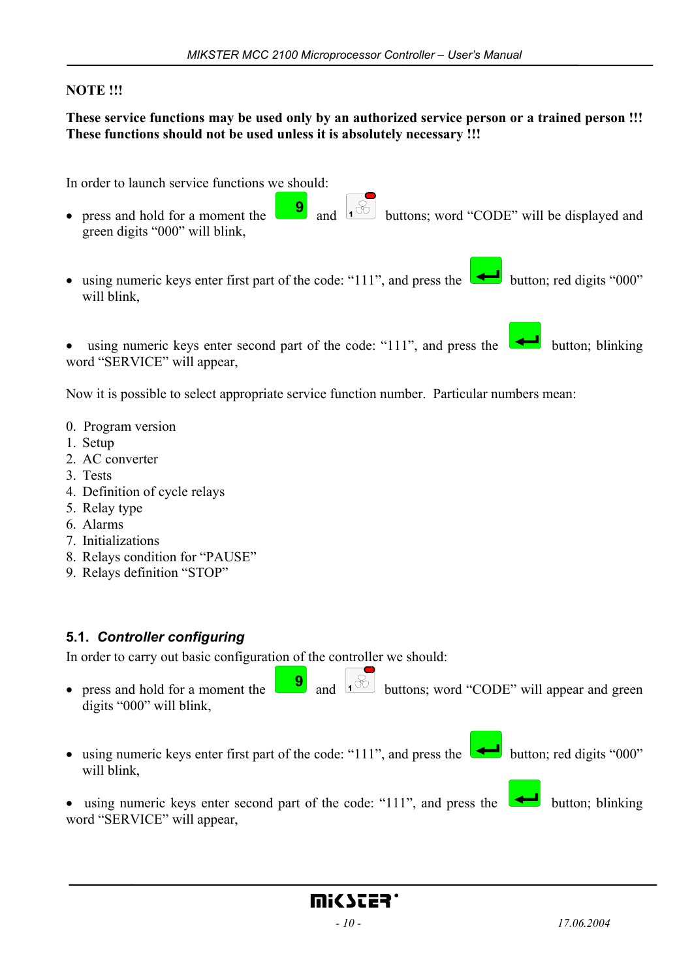#### **NOTE !!!**

#### **These service functions may be used only by an authorized service person or a trained person !!! These functions should not be used unless it is absolutely necessary !!!**

In order to launch service functions we should:

- press and hold for a moment the  $\begin{bmatrix} 9 \\ 1 \end{bmatrix}$  and  $\begin{bmatrix} 1 \\ 0 \end{bmatrix}$  buttons; word "CODE" will be displayed and green digits "000" will blink,
- using numeric keys enter first part of the code: "111", and press the button; red digits "000" will blink,

using numeric keys enter second part of the code: "111", and press the  $\Box$  button; blinking word "SERVICE" will appear,

Now it is possible to select appropriate service function number. Particular numbers mean:

- 0. Program version
- 1. Setup
- 2. AC converter
- 3. Tests
- 4. Definition of cycle relays
- 5. Relay type
- 6. Alarms
- 7. Initializations
- 8. Relays condition for "PAUSE"
- 9. Relays definition "STOP"

#### **5.1.** *Controller configuring*

In order to carry out basic configuration of the controller we should:

- press and hold for a moment the  $\begin{bmatrix} 9 \\ 1 \end{bmatrix}$  and  $\begin{bmatrix} 6 \\ 1 \end{bmatrix}$  buttons; word "CODE" will appear and green digits "000" will blink,
- using numeric keys enter first part of the code: "111", and press the **button**; red digits "000" will blink
- using numeric keys enter second part of the code: "111", and press the  $\Box$  button; blinking word "SERVICE" will appear,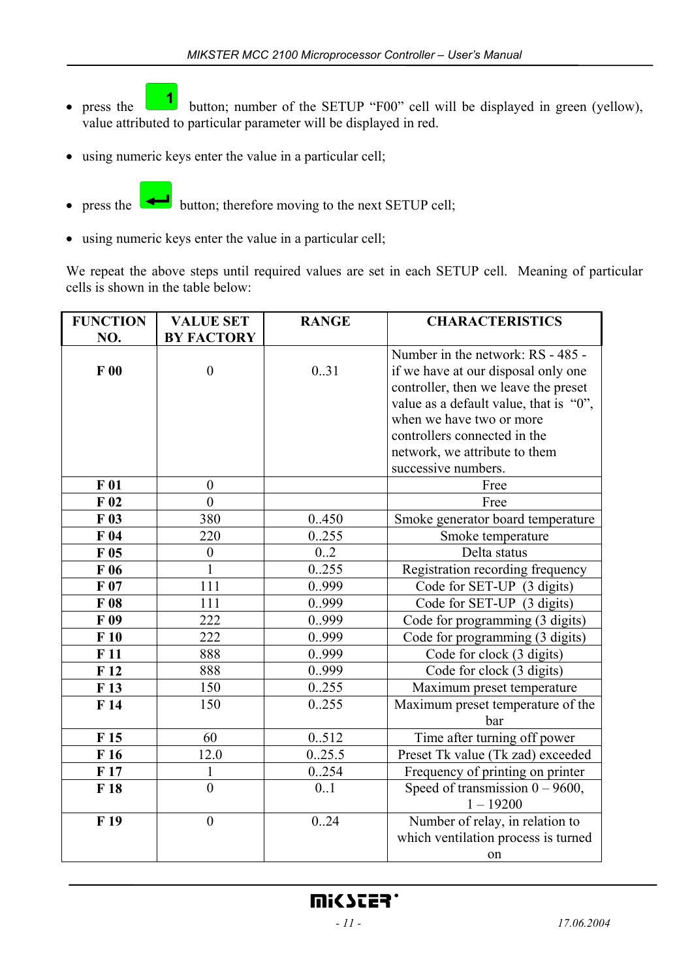- press the  $\begin{bmatrix} 1 \end{bmatrix}$  button; number of the SETUP "F00" cell will be displayed in green (yellow), value attributed to particular parameter will be displayed in red.
- using numeric keys enter the value in a particular cell;
- 
- press the button; therefore moving to the next SETUP cell;
- using numeric keys enter the value in a particular cell;

We repeat the above steps until required values are set in each SETUP cell. Meaning of particular cells is shown in the table below:

| <b>FUNCTION</b> | <b>VALUE SET</b>  | <b>RANGE</b>     | <b>CHARACTERISTICS</b>                 |
|-----------------|-------------------|------------------|----------------------------------------|
| NO.             | <b>BY FACTORY</b> |                  |                                        |
|                 |                   |                  | Number in the network: RS - 485 -      |
| F00             | $\boldsymbol{0}$  | 0.31             | if we have at our disposal only one    |
|                 |                   |                  | controller, then we leave the preset   |
|                 |                   |                  | value as a default value, that is "0", |
|                 |                   |                  | when we have two or more               |
|                 |                   |                  | controllers connected in the           |
|                 |                   |                  | network, we attribute to them          |
|                 |                   |                  | successive numbers.                    |
| F 01            | $\boldsymbol{0}$  |                  | Free                                   |
| $F_{02}$        | $\theta$          |                  | Free                                   |
| $F_{03}$        | 380               | 0.450            | Smoke generator board temperature      |
| F <sub>04</sub> | 220               | 0.255            | Smoke temperature                      |
| $F_{05}$        | $\boldsymbol{0}$  | $0.\overline{2}$ | Delta status                           |
| F06             | $\mathbf{1}$      | 0.255            | Registration recording frequency       |
| F07             | 111               | 0.999            | Code for SET-UP (3 digits)             |
| F08             | 111               | 0.999            | Code for SET-UP (3 digits)             |
| F 09            | 222               | 0.999            | Code for programming (3 digits)        |
| F10             | 222               | 0.999            | Code for programming (3 digits)        |
| F11             | 888               | 0.999            | Code for clock (3 digits)              |
| F12             | 888               | 0.999            | Code for clock (3 digits)              |
| F13             | 150               | 0255             | Maximum preset temperature             |
| F14             | 150               | 0.255            | Maximum preset temperature of the      |
|                 |                   |                  | bar                                    |
| F <sub>15</sub> | 60                | 0.512            | Time after turning off power           |
| F16             | 12.0              | 0.25.5           | Preset Tk value (Tk zad) exceeded      |
| F17             | $\mathbf{1}$      | 0254             | Frequency of printing on printer       |
| F 18            | $\overline{0}$    | 0.1              | Speed of transmission $0 - 9600$ ,     |
|                 |                   |                  | $1 - 19200$                            |
| F <sub>19</sub> | $\boldsymbol{0}$  | 0.24             | Number of relay, in relation to        |
|                 |                   |                  | which ventilation process is turned    |
|                 |                   |                  | on                                     |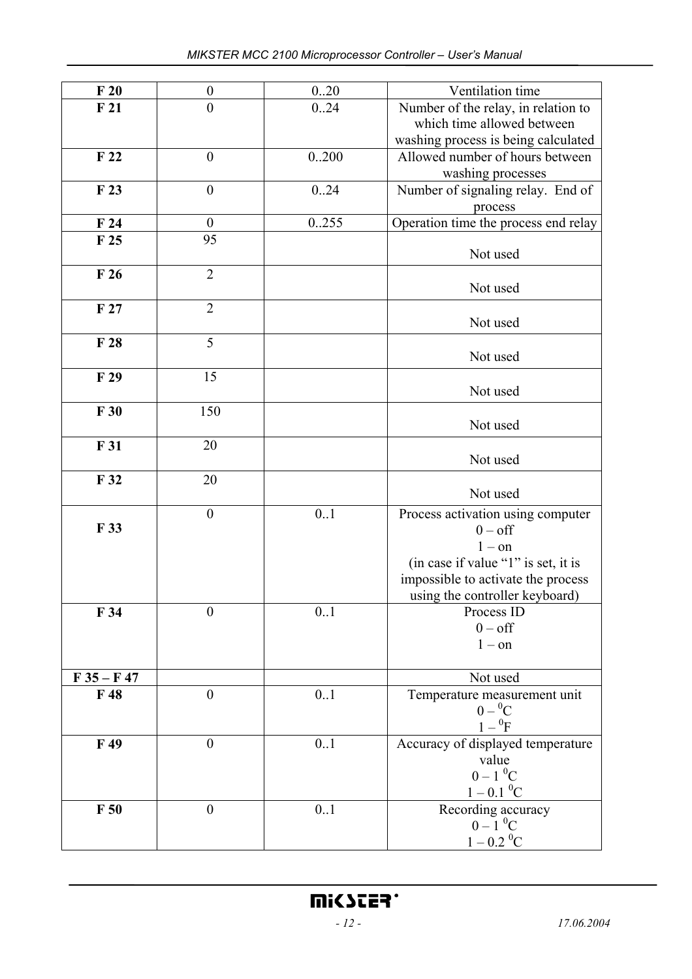| F20             | $\boldsymbol{0}$ | 0.20  | Ventilation time                         |
|-----------------|------------------|-------|------------------------------------------|
| F <sub>21</sub> | $\boldsymbol{0}$ | 0.24  | Number of the relay, in relation to      |
|                 |                  |       | which time allowed between               |
|                 |                  |       | washing process is being calculated      |
| F <sub>22</sub> | $\boldsymbol{0}$ | 0.200 | Allowed number of hours between          |
|                 |                  |       | washing processes                        |
| F <sub>23</sub> | $\boldsymbol{0}$ |       |                                          |
|                 |                  | 0.24  | Number of signaling relay. End of        |
|                 |                  |       | process                                  |
| F24             | $\boldsymbol{0}$ | 0.255 | Operation time the process end relay     |
| F <sub>25</sub> | 95               |       |                                          |
|                 |                  |       | Not used                                 |
| F26             | $\overline{2}$   |       |                                          |
|                 |                  |       | Not used                                 |
|                 | $\overline{2}$   |       |                                          |
| F <sub>27</sub> |                  |       | Not used                                 |
|                 |                  |       |                                          |
| F 28            | 5                |       |                                          |
|                 |                  |       | Not used                                 |
| F 29            | 15               |       |                                          |
|                 |                  |       | Not used                                 |
|                 |                  |       |                                          |
| F30             | 150              |       |                                          |
|                 |                  |       | Not used                                 |
| F 31            | 20               |       |                                          |
|                 |                  |       | Not used                                 |
| F 32            | 20               |       |                                          |
|                 |                  |       | Not used                                 |
|                 |                  |       |                                          |
| F 33            | $\boldsymbol{0}$ | 0.1   | Process activation using computer        |
|                 |                  |       | $0 - off$                                |
|                 |                  |       | $1 - on$                                 |
|                 |                  |       | (in case if value "1" is set, it is      |
|                 |                  |       | impossible to activate the process       |
|                 |                  |       | using the controller keyboard)           |
| F 34            | $\overline{0}$   | 0.1   | Process ID                               |
|                 |                  |       | $0 - off$                                |
|                 |                  |       | $1 - on$                                 |
|                 |                  |       |                                          |
| $F 35 - F 47$   |                  |       | Not used                                 |
| F 48            | $\boldsymbol{0}$ |       |                                          |
|                 |                  | 0.1   | Temperature measurement unit             |
|                 |                  |       | $0-{}^{0}C$                              |
|                 |                  |       | $1-{^0F}$                                |
| F 49            | $\boldsymbol{0}$ | 0.1   | Accuracy of displayed temperature        |
|                 |                  |       | value                                    |
|                 |                  |       | $0 - 1$ <sup>0</sup> C                   |
|                 |                  |       | $1 - 0.1 \, {}^{0}C$                     |
| F50             | $\boldsymbol{0}$ | 0.1   |                                          |
|                 |                  |       | Recording accuracy<br>$0 - 1 \, {}^{0}C$ |
|                 |                  |       |                                          |
|                 |                  |       | $1-0.2\ ^0\rm{C}$                        |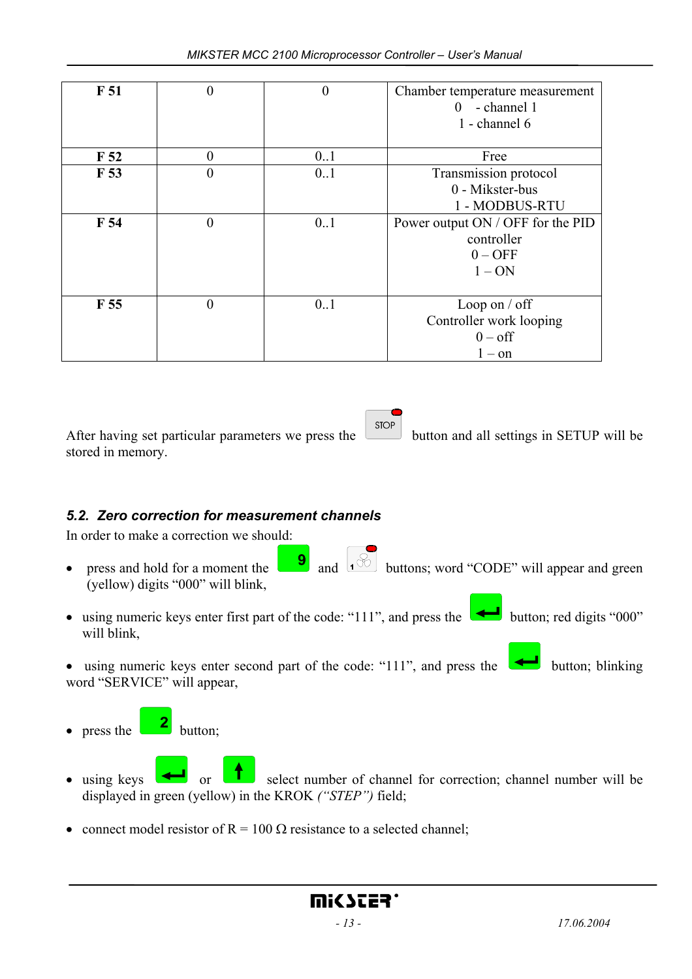| F <sub>51</sub> | $\boldsymbol{0}$ | $\boldsymbol{0}$ | Chamber temperature measurement<br>- channel 1<br>0 |
|-----------------|------------------|------------------|-----------------------------------------------------|
|                 |                  |                  | 1 - channel 6                                       |
| F <sub>52</sub> | $\theta$         | 0.1              | Free                                                |
| F 53            | $\boldsymbol{0}$ | 0.1              | Transmission protocol                               |
|                 |                  |                  | 0 - Mikster-bus                                     |
|                 |                  |                  | 1 - MODBUS-RTU                                      |
| F 54            | $\overline{0}$   | 0.1              | Power output ON / OFF for the PID                   |
|                 |                  |                  | controller                                          |
|                 |                  |                  | $0 - OFF$                                           |
|                 |                  |                  | $1 - ON$                                            |
|                 |                  |                  |                                                     |
| F <sub>55</sub> | $\overline{0}$   | 0.1              | Loop on $/$ off                                     |
|                 |                  |                  | Controller work looping                             |
|                 |                  |                  | $0 - off$                                           |
|                 |                  |                  | $1 - on$                                            |

After having set particular parameters we press the  $\left[\begin{array}{c} \text{stop} \\ \text{bottom} \end{array}\right]$  button and all settings in SETUP will be stored in memory.

*5.2. Zero correction for measurement channels*

In order to make a correction we should:

- press and hold for a moment the  $\begin{bmatrix} 9 \\ 1 \end{bmatrix}$  and  $\begin{bmatrix} 1 \\ 2 \end{bmatrix}$  buttons; word "CODE" will appear and green (yellow) digits "000" will blink,
- using numeric keys enter first part of the code: "111", and press the button; red digits "000" will blink,

• using numeric keys enter second part of the code: "111", and press the  $\Box$  button; blinking word "SERVICE" will appear,

- press the  $\boxed{2}$  button;
- using keys or select number of channel for correction; channel number will be displayed in green (yellow) in the KROK *("STEP")* field;
- connect model resistor of  $R = 100 \Omega$  resistance to a selected channel;

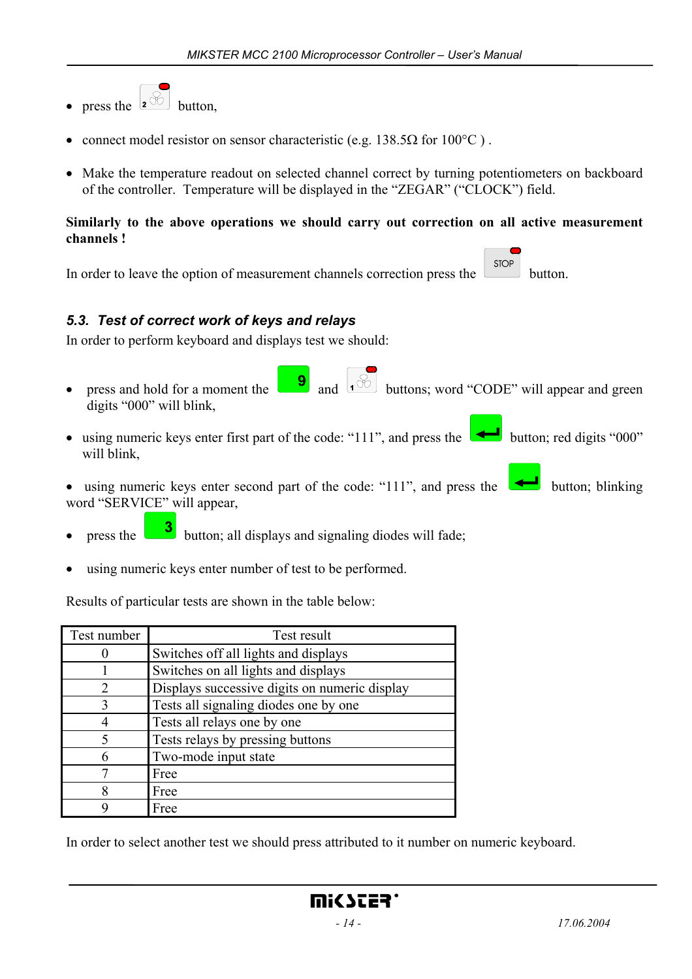- press the  $\boxed{2^{\frac{1}{\infty}}}$  button.
- connect model resistor on sensor characteristic (e.g. 138.5 $\Omega$  for 100°C).
- Make the temperature readout on selected channel correct by turning potentiometers on backboard of the controller. Temperature will be displayed in the "ZEGAR" ("CLOCK") field.

#### **Similarly to the above operations we should carry out correction on all active measurement channels !**

**STOP** In order to leave the option of measurement channels correction press the button.

## *5.3. Test of correct work of keys and relays*

In order to perform keyboard and displays test we should:

- press and hold for a moment the  $\boxed{\phantom{\bigoplus}9}$  and  $\boxed{\cdot\%}$  buttons; word "CODE" will appear and green digits "000" will blink,
- using numeric keys enter first part of the code: "111", and press the button; red digits "000" will blink,
- using numeric keys enter second part of the code: "111", and press the  $\Box$  button; blinking word "SERVICE" will appear,
- press the **3** button; all displays and signaling diodes will fade;
- using numeric keys enter number of test to be performed.

Results of particular tests are shown in the table below:

| Test number | Test result                                   |
|-------------|-----------------------------------------------|
|             | Switches off all lights and displays          |
|             | Switches on all lights and displays           |
| 2           | Displays successive digits on numeric display |
| 3           | Tests all signaling diodes one by one         |
|             | Tests all relays one by one                   |
| 5           | Tests relays by pressing buttons              |
| 6           | Two-mode input state                          |
|             | Free                                          |
| 8           | Free                                          |
|             | Free                                          |

In order to select another test we should press attributed to it number on numeric keyboard.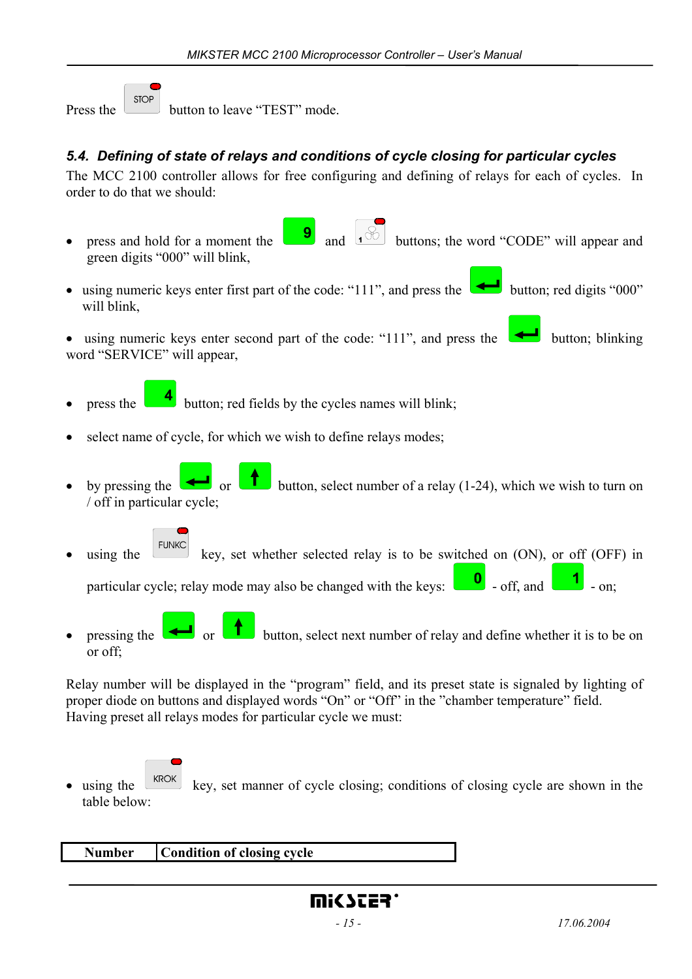**STOP** Press the button to leave "TEST" mode.

## *5.4. Defining of state of relays and conditions of cycle closing for particular cycles*

The MCC 2100 controller allows for free configuring and defining of relays for each of cycles. In order to do that we should:

- press and hold for a moment the  $\begin{bmatrix} 9 \\ 1 \end{bmatrix}$  and  $\begin{bmatrix} 1 \\ 0 \end{bmatrix}$  buttons; the word "CODE" will appear and green digits "000" will blink,
- using numeric keys enter first part of the code: "111", and press the button; red digits "000" will blink,
- using numeric keys enter second part of the code: "111", and press the  $\Box$  button; blinking word "SERVICE" will appear,
- press the **button**; red fields by the cycles names will blink;
- select name of cycle, for which we wish to define relays modes;
- by pressing the  $\Box$  or button, select number of a relay (1-24), which we wish to turn on / off in particular cycle;
- using the  $\begin{bmatrix} \text{FUNKC} \\ \text{key} \end{bmatrix}$  key, set whether selected relay is to be switched on (ON), or off (OFF) in

particular cycle; relay mode may also be changed with the keys:  $\Box$  - off, and  $\Box$  - on;

• pressing the or button, select next number of relay and define whether it is to be on or off;

Relay number will be displayed in the "program" field, and its preset state is signaled by lighting of proper diode on buttons and displayed words "On" or "Off" in the "chamber temperature" field. Having preset all relays modes for particular cycle we must:

using the  $\lfloor$  KROK key, set manner of cycle closing; conditions of closing cycle are shown in the table below:

| Number | Condition of closing cycle |  |
|--------|----------------------------|--|
|        |                            |  |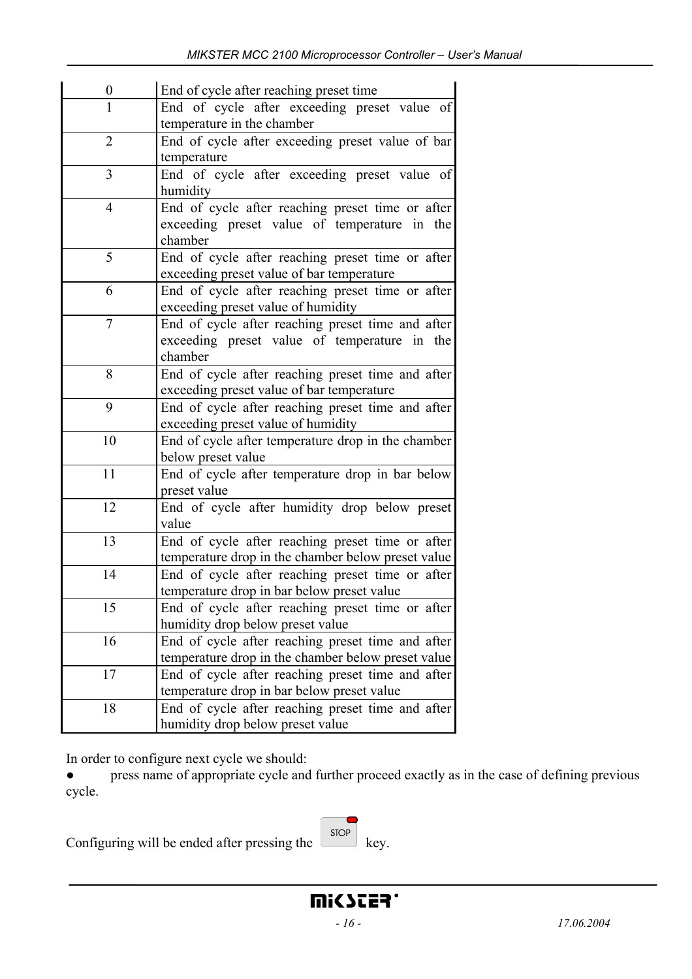| 0              | End of cycle after reaching preset time                                                        |
|----------------|------------------------------------------------------------------------------------------------|
| $\mathbf{1}$   | End of cycle after exceeding preset value of                                                   |
|                | temperature in the chamber                                                                     |
| 2              | End of cycle after exceeding preset value of bar                                               |
|                | temperature                                                                                    |
| 3              | End of cycle after exceeding preset value of                                                   |
|                | humidity                                                                                       |
| $\overline{4}$ | End of cycle after reaching preset time or after                                               |
|                | exceeding preset value of temperature in the                                                   |
|                | chamber                                                                                        |
| 5              | End of cycle after reaching preset time or after                                               |
|                | exceeding preset value of bar temperature                                                      |
| 6              | End of cycle after reaching preset time or after                                               |
|                | exceeding preset value of humidity                                                             |
| 7              | End of cycle after reaching preset time and after                                              |
|                | exceeding preset value of temperature in the<br>chamber                                        |
| 8              |                                                                                                |
|                | End of cycle after reaching preset time and after<br>exceeding preset value of bar temperature |
| 9              | End of cycle after reaching preset time and after                                              |
|                | exceeding preset value of humidity                                                             |
| 10             | End of cycle after temperature drop in the chamber                                             |
|                | below preset value                                                                             |
| 11             | End of cycle after temperature drop in bar below                                               |
|                | preset value                                                                                   |
| 12             | End of cycle after humidity drop below preset                                                  |
|                | value                                                                                          |
| 13             | End of cycle after reaching preset time or after                                               |
|                | temperature drop in the chamber below preset value                                             |
| 14             | End of cycle after reaching preset time or after                                               |
|                | temperature drop in bar below preset value                                                     |
| 15             | End of cycle after reaching preset time or after                                               |
|                | humidity drop below preset value                                                               |
| 16             | End of cycle after reaching preset time and after                                              |
|                | temperature drop in the chamber below preset value                                             |
| 17             | End of cycle after reaching preset time and after                                              |
|                | temperature drop in bar below preset value                                                     |
| 18             | End of cycle after reaching preset time and after                                              |
|                | humidity drop below preset value                                                               |

In order to configure next cycle we should:

• press name of appropriate cycle and further proceed exactly as in the case of defining previous cycle.

 $\overline{\phantom{0}}$ 

|                                                     | STOP:                |  |
|-----------------------------------------------------|----------------------|--|
| Configuring will be ended after pressing the $\Box$ | $\qquad \qquad$ key. |  |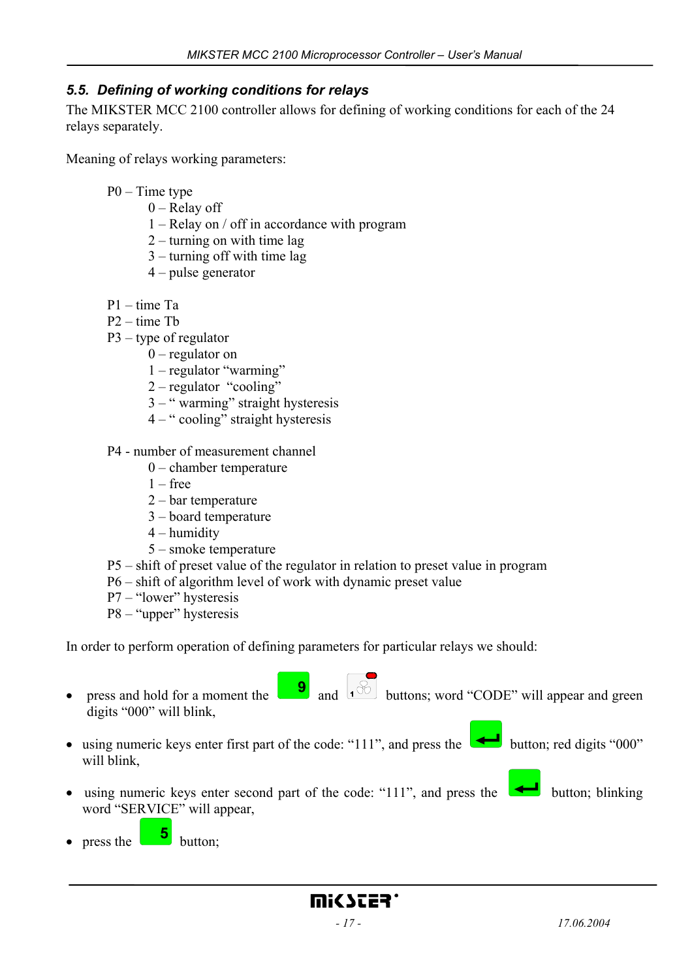## *5.5. Defining of working conditions for relays*

The MIKSTER MCC 2100 controller allows for defining of working conditions for each of the 24 relays separately.

Meaning of relays working parameters:

- P0 Time type
	- $0$  Relay off
	- 1 Relay on / off in accordance with program
	- 2 turning on with time lag
	- 3 turning off with time lag
	- 4 pulse generator
- P1 time Ta
- P2 time Tb
- P3 type of regulator
	- 0 regulator on
	- 1 regulator "warming"
	- 2 regulator "cooling"
	- 3 " warming" straight hysteresis
	- 4 " cooling" straight hysteresis
- P4 number of measurement channel
	- 0 chamber temperature
	- $1 free$
	- 2 bar temperature
	- 3 board temperature
	- 4 humidity
	- 5 smoke temperature
- P5 shift of preset value of the regulator in relation to preset value in program
- P6 shift of algorithm level of work with dynamic preset value
- P7 "lower" hysteresis
- P8 "upper" hysteresis

In order to perform operation of defining parameters for particular relays we should:

- press and hold for a moment the  $\begin{bmatrix} 9 \\ 1 \end{bmatrix}$  and  $\begin{bmatrix} 1 \end{bmatrix}$  buttons; word "CODE" will appear and green digits "000" will blink,
- using numeric keys enter first part of the code: "111", and press the button; red digits "000" will blink
- using numeric keys enter second part of the code: "111", and press the  $\Box$  button; blinking word "SERVICE" will appear,
- press the  $\begin{bmatrix} 5 \\ 5 \end{bmatrix}$  button;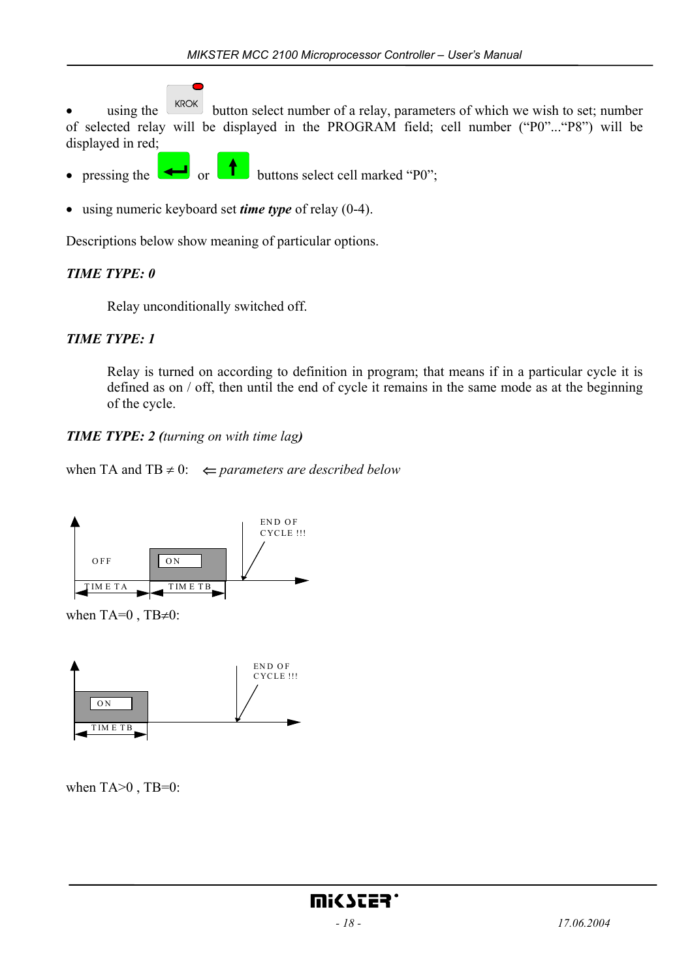using the  $\left\lfloor \frac{kROK}{ROL} \right\rfloor$  button select number of a relay, parameters of which we wish to set; number of selected relay will be displayed in the PROGRAM field; cell number ("P0"..."P8") will be displayed in red;

- pressing the  $\leftarrow$  or  $\leftarrow$  buttons select cell marked "P0";
- using numeric keyboard set *time type* of relay (0-4).

Descriptions below show meaning of particular options.

## *TIME TYPE: 0*

Relay unconditionally switched off.

## *TIME TYPE: 1*

 Relay is turned on according to definition in program; that means if in a particular cycle it is defined as on / off, then until the end of cycle it remains in the same mode as at the beginning of the cycle.

## *TIME TYPE: 2 (turning on with time lag)*

when TA and TB  $\neq$  0:  $\Leftarrow$  *parameters are described below* 



when TA= $0$ , TB $\neq$ 0:



when  $TA>0$ ,  $TB=0$ :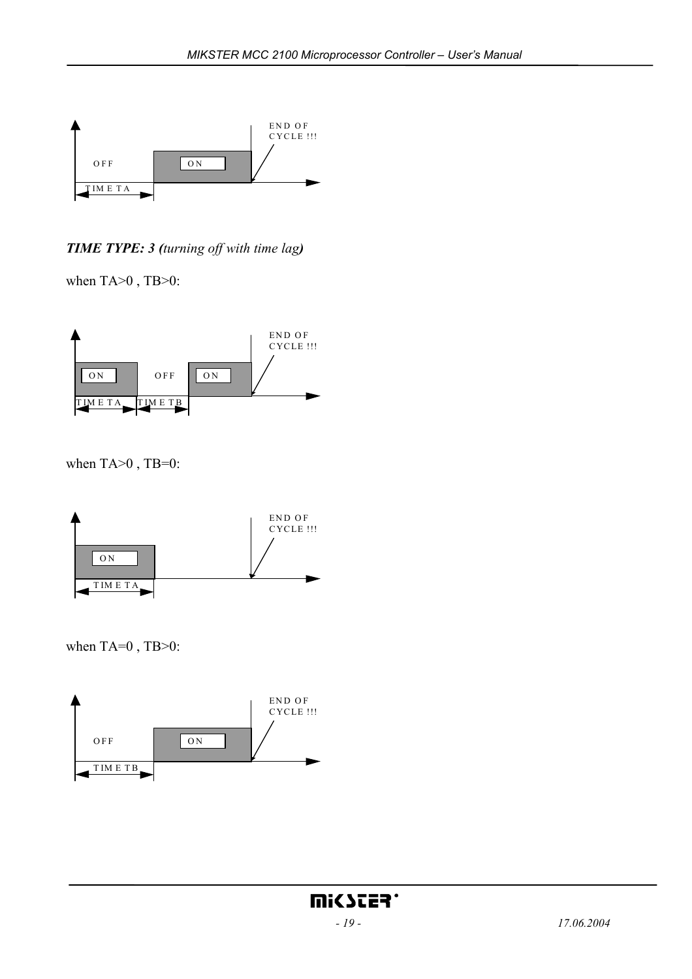

*TIME TYPE: 3 (turning off with time lag)* 

when TA>0, TB>0:



when TA>0, TB=0:



when  $TA=0$ ,  $TB>0$ :

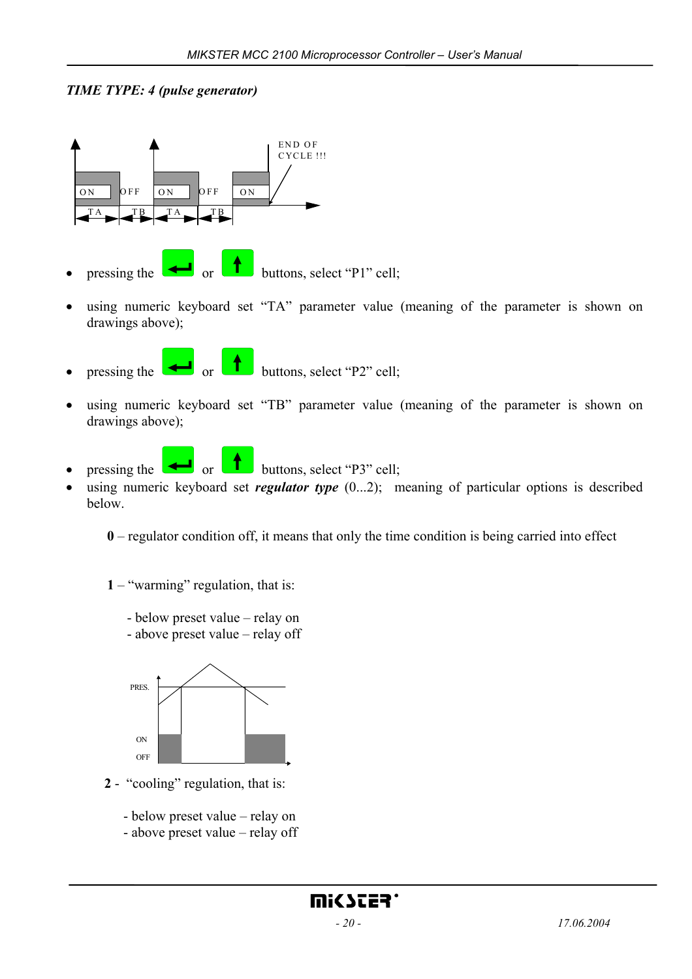## *TIME TYPE: 4 (pulse generator)*



- pressing the  $\Box$  or  $\Box$  buttons, select "P1" cell;
- using numeric keyboard set "TA" parameter value (meaning of the parameter is shown on drawings above);
- pressing the or buttons, select "P2" cell;
- using numeric keyboard set "TB" parameter value (meaning of the parameter is shown on drawings above);



- pressing the or buttons, select "P3" cell;
- using numeric keyboard set *regulator type*  $(0...2)$ ; meaning of particular options is described below.

**0** – regulator condition off, it means that only the time condition is being carried into effect

- **1** "warming" regulation, that is:
	- below preset value relay on
	- above preset value relay off



- **2** "cooling" regulation, that is:
	- below preset value relay on
	- above preset value relay off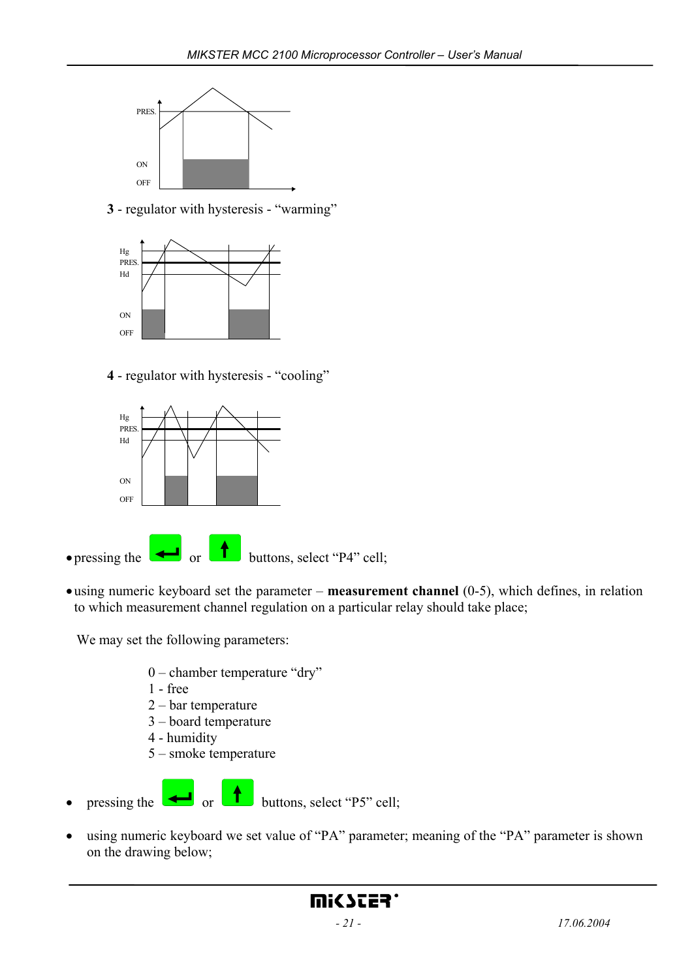

**3** - regulator with hysteresis - "warming"



**4** - regulator with hysteresis - "cooling"



• using numeric keyboard set the parameter – **measurement channel** (0-5), which defines, in relation to which measurement channel regulation on a particular relay should take place;

We may set the following parameters:

- 0 chamber temperature "dry"
- 1 free
- 2 bar temperature
- 3 board temperature
- 4 humidity
- 5 smoke temperature
- pressing the  $\begin{array}{|c|c|c|}\n\hline\n\end{array}$  or  $\begin{array}{|c|c|c|}\n\hline\n\end{array}$  buttons, select "P5" cell;
- using numeric keyboard we set value of "PA" parameter; meaning of the "PA" parameter is shown on the drawing below;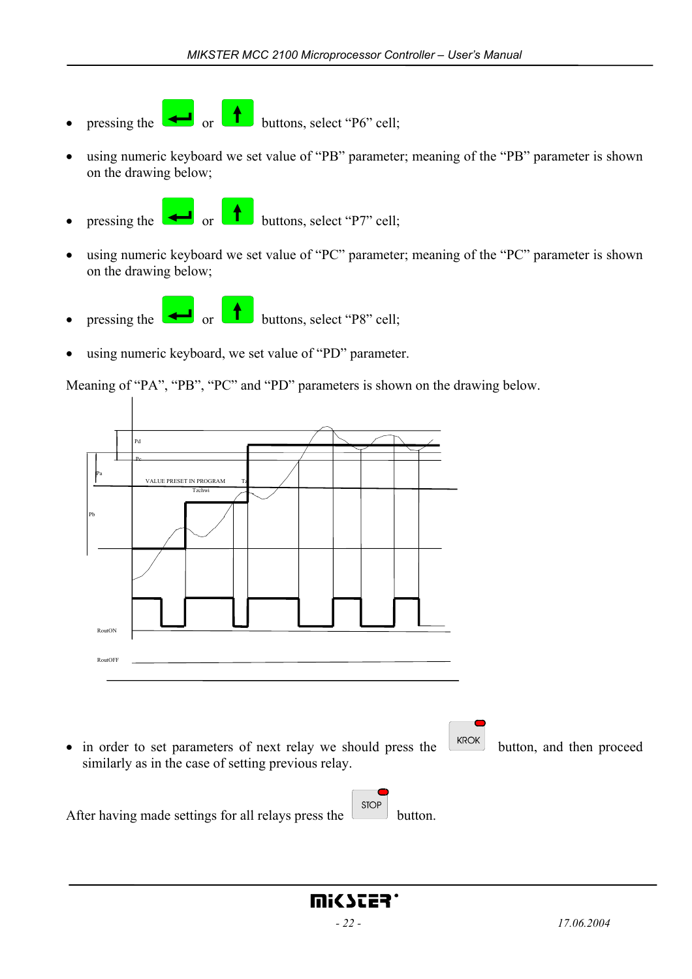- pressing the or buttons, select "P6" cell;
- using numeric keyboard we set value of "PB" parameter; meaning of the "PB" parameter is shown on the drawing below;
- pressing the  $\Box$  or  $\Box$  buttons, select "P7" cell;
- using numeric keyboard we set value of "PC" parameter; meaning of the "PC" parameter is shown on the drawing below;
- pressing the  $\left(\begin{array}{c} \bullet \\ \bullet \end{array}\right)$  or buttons, select "P8" cell;
- using numeric keyboard, we set value of "PD" parameter.

Meaning of "PA", "PB", "PC" and "PD" parameters is shown on the drawing below.

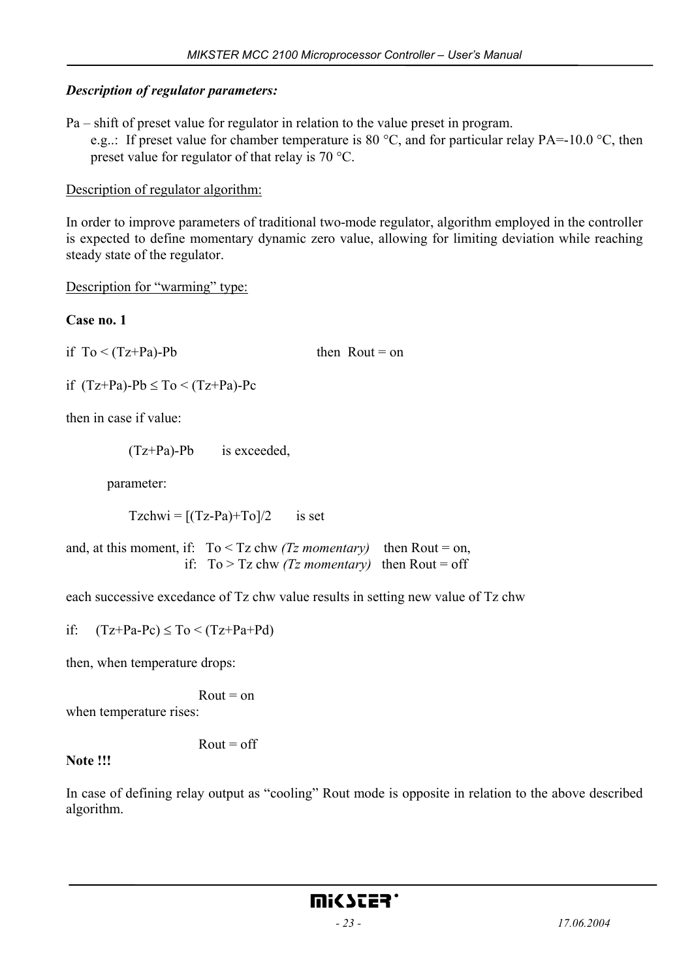#### *Description of regulator parameters:*

Pa – shift of preset value for regulator in relation to the value preset in program.

e.g..: If preset value for chamber temperature is 80 °C, and for particular relay PA=-10.0 °C, then preset value for regulator of that relay is 70 °C.

#### Description of regulator algorithm:

In order to improve parameters of traditional two-mode regulator, algorithm employed in the controller is expected to define momentary dynamic zero value, allowing for limiting deviation while reaching steady state of the regulator.

Description for "warming" type:

#### **Case no. 1**

if  $To < (Tz + Pa)$ -Pb then Rout = on

if  $(Tz+Pa)$ -Pb  $\leq$  To  $\leq$   $(Tz+Pa)$ -Pc

then in case if value:

(Tz+Pa)-Pb is exceeded,

parameter:

 $Tzchwi = [(Tz-Pa)+To]/2$  is set

and, at this moment, if:  $To \leq Tz$  chw *(Tz momentary)* then Rout = on, if:  $To > Tz$  chw *(Tz momentary)* then Rout = off

each successive excedance of Tz chw value results in setting new value of Tz chw

if:  $(Tz+Pa-Pe) \leq To \leq (Tz+Pa+Pd)$ 

then, when temperature drops:

 $R$ out = on

when temperature rises:

 $Rout = off$ 

**Note !!!** 

In case of defining relay output as "cooling" Rout mode is opposite in relation to the above described algorithm.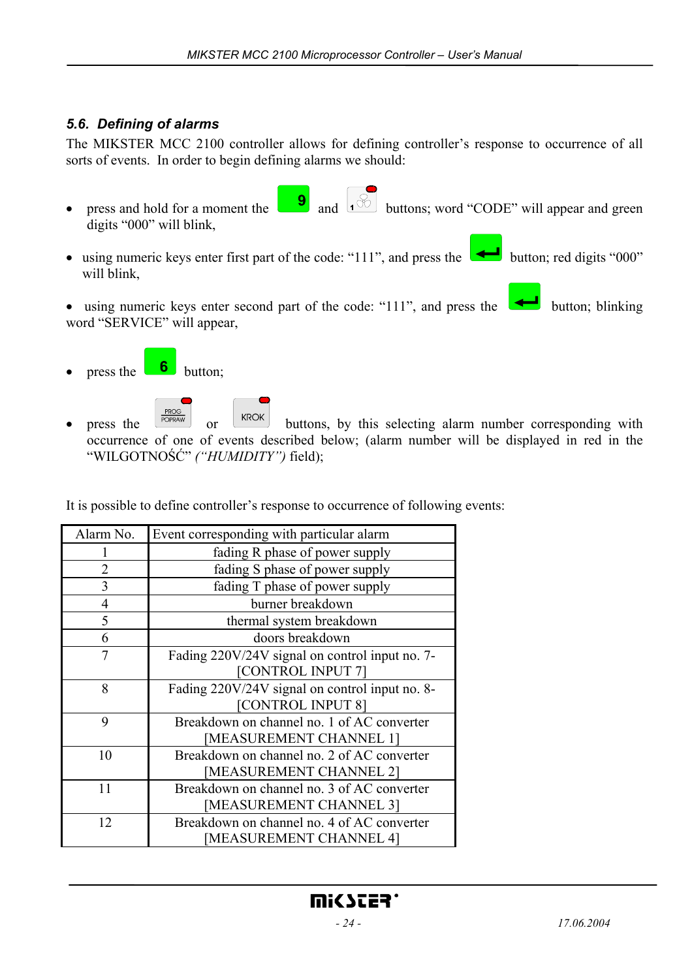# *5.6. Defining of alarms*

The MIKSTER MCC 2100 controller allows for defining controller's response to occurrence of all sorts of events. In order to begin defining alarms we should:

- press and hold for a moment the  $\begin{bmatrix} 9 \\ 1 \end{bmatrix}$  and  $\begin{bmatrix} 6 \\ 1 \end{bmatrix}$  buttons; word "CODE" will appear and green digits "000" will blink,
- using numeric keys enter first part of the code: "111", and press the **ull** button; red digits "000" will blink,
- using numeric keys enter second part of the code: "111", and press the  $\Box$  button; blinking word "SERVICE" will appear,
- press the  $\begin{array}{|c|c|} \hline \mathbf{6} \\ \hline \end{array}$  button;
- PROG press the  $\sqrt{\frac{H_{\text{ROV}}}{P_{\text{OPRAW}}} }$  or  $\sqrt{H_{\text{ROK}}}$  buttons, by this selecting alarm number corresponding with occurrence of one of events described below; (alarm number will be displayed in red in the "WILGOTNOŚĆ" *("HUMIDITY")* field);

It is possible to define controller's response to occurrence of following events:

| Alarm No.      | Event corresponding with particular alarm      |  |
|----------------|------------------------------------------------|--|
|                | fading R phase of power supply                 |  |
| 2              | fading S phase of power supply                 |  |
| 3              | fading T phase of power supply                 |  |
| $\overline{4}$ | burner breakdown                               |  |
| 5              | thermal system breakdown                       |  |
| 6              | doors breakdown                                |  |
| 7              | Fading 220V/24V signal on control input no. 7- |  |
|                | [CONTROL INPUT 7]                              |  |
| 8              | Fading 220V/24V signal on control input no. 8- |  |
|                | [CONTROL INPUT 8]                              |  |
| 9              | Breakdown on channel no. 1 of AC converter     |  |
|                | [MEASUREMENT CHANNEL 1]                        |  |
| 10             | Breakdown on channel no. 2 of AC converter     |  |
|                | [MEASUREMENT CHANNEL 2]                        |  |
| 11             | Breakdown on channel no. 3 of AC converter     |  |
|                | [MEASUREMENT CHANNEL 3]                        |  |
| 12             | Breakdown on channel no. 4 of AC converter     |  |
|                | [MEASUREMENT CHANNEL 4]                        |  |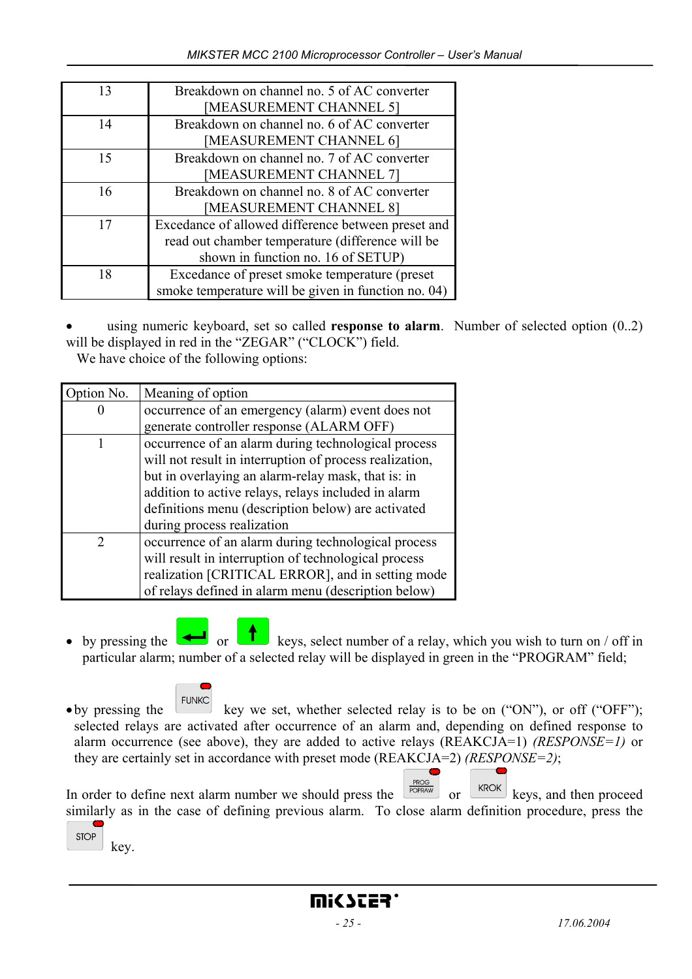| Breakdown on channel no. 5 of AC converter          |
|-----------------------------------------------------|
| [MEASUREMENT CHANNEL 5]                             |
| Breakdown on channel no. 6 of AC converter          |
| [MEASUREMENT CHANNEL 6]                             |
| Breakdown on channel no. 7 of AC converter          |
| [MEASUREMENT CHANNEL 7]                             |
| Breakdown on channel no. 8 of AC converter          |
| [MEASUREMENT CHANNEL 8]                             |
| Excedance of allowed difference between preset and  |
| read out chamber temperature (difference will be    |
| shown in function no. 16 of SETUP)                  |
| Excedance of preset smoke temperature (preset       |
| smoke temperature will be given in function no. 04) |
|                                                     |

using numeric keyboard, set so called **response to alarm**. Number of selected option (0..2) will be displayed in red in the "ZEGAR" ("CLOCK") field.

We have choice of the following options:

| Option No. | Meaning of option                                       |
|------------|---------------------------------------------------------|
|            | occurrence of an emergency (alarm) event does not       |
|            | generate controller response (ALARM OFF)                |
|            | occurrence of an alarm during technological process     |
|            | will not result in interruption of process realization, |
|            | but in overlaying an alarm-relay mask, that is: in      |
|            | addition to active relays, relays included in alarm     |
|            | definitions menu (description below) are activated      |
|            | during process realization                              |
|            | occurrence of an alarm during technological process     |
|            | will result in interruption of technological process    |
|            | realization [CRITICAL ERROR], and in setting mode       |
|            | of relays defined in alarm menu (description below)     |

- by pressing the  $\Box$  or  $\Box$  keys, select number of a relay, which you wish to turn on / off in particular alarm; number of a selected relay will be displayed in green in the "PROGRAM" field;
- by pressing the  $\begin{bmatrix} \text{FUNK} \\ \text{Key we set, whether selected relay is to be on ("ON"), or off ("OFF"); \end{bmatrix}$ selected relays are activated after occurrence of an alarm and, depending on defined response to alarm occurrence (see above), they are added to active relays (REAKCJA=1) *(RESPONSE=1)* or they are certainly set in accordance with preset mode (REAKCJA=2) *(RESPONSE=2)*;

In order to define next alarm number we should press the  $\left[\frac{RROK}{POPRAW}\right]$  or  $\left[\frac{KROK}{PORAM}\right]$  keys, and then proceed similarly as in the case of defining previous alarm. To close alarm definition procedure, press the **STOP** 

key.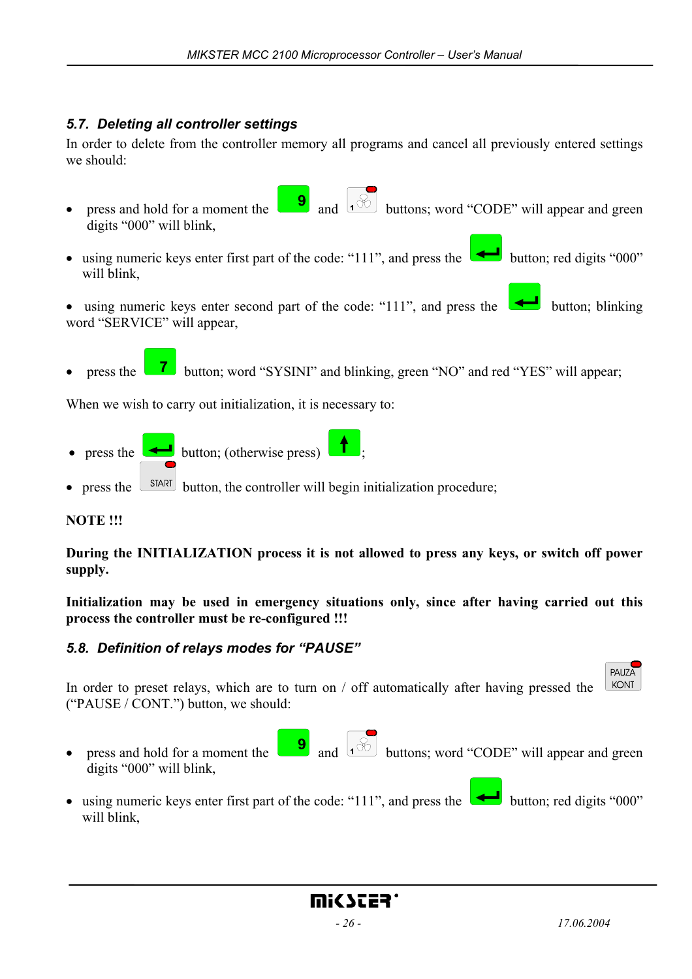# *5.7. Deleting all controller settings*

In order to delete from the controller memory all programs and cancel all previously entered settings we should:

- press and hold for a moment the  $\begin{bmatrix} 9 \\ 0 \end{bmatrix}$  and  $\begin{bmatrix} 6 & 3 \end{bmatrix}$  buttons; word "CODE" will appear and green digits "000" will blink,
- using numeric keys enter first part of the code: "111", and press the button; red digits "000" will blink,
- using numeric keys enter second part of the code: "111", and press the **button**; blinking word "SERVICE" will appear,
- press the **7** button; word "SYSINI" and blinking, green "NO" and red "YES" will appear;

When we wish to carry out initialization, it is necessary to:

- press the **button**; (otherwise press)
- press the  $\sqrt{\frac{START}{START}}$  button, the controller will begin initialization procedure;

#### **NOTE !!!**

**During the INITIALIZATION process it is not allowed to press any keys, or switch off power supply.** 

**Initialization may be used in emergency situations only, since after having carried out this process the controller must be re-configured !!!** 

## *5.8. Definition of relays modes for "PAUSE"*

KONT In order to preset relays, which are to turn on / off automatically after having pressed the ("PAUSE / CONT.") button, we should:

- press and hold for a moment the  $\begin{bmatrix} 9 \\ 0 \end{bmatrix}$  and  $\begin{bmatrix} 6 & 3 \end{bmatrix}$  buttons; word "CODE" will appear and green digits "000" will blink,
- using numeric keys enter first part of the code: "111", and press the button; red digits "000" will blink,

PAUZA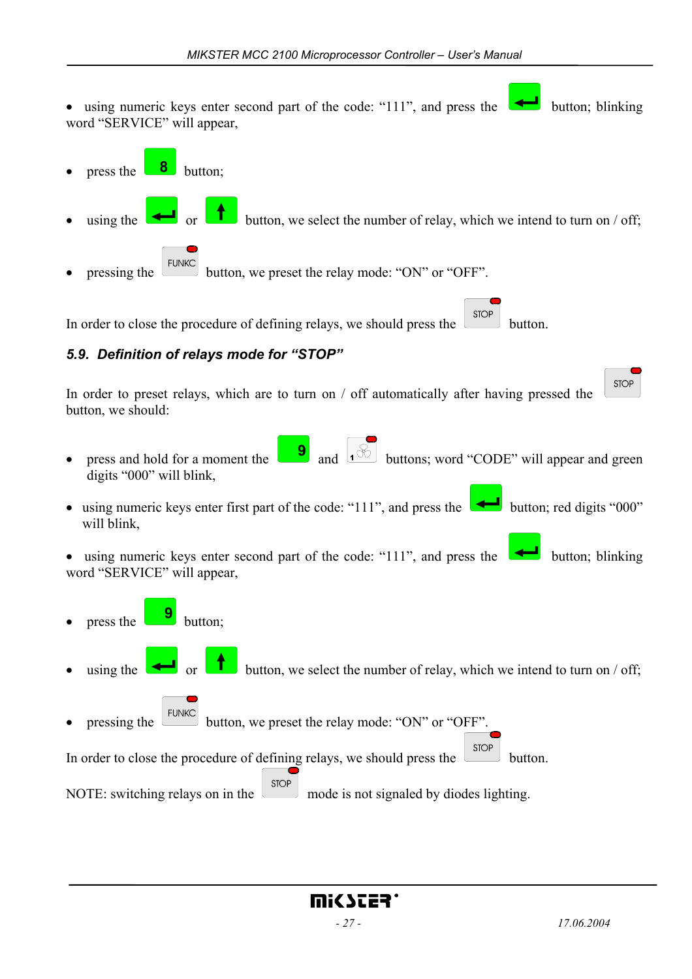- using numeric keys enter second part of the code: "111", and press the  $\Box$  button; blinking word "SERVICE" will appear, press the  $\begin{array}{|c|c|} \hline \mathbf{8} \\ \hline \end{array}$  button; using the  $\Box$  or button, we select the number of relay, which we intend to turn on / off; pressing the  $\left\lfloor \frac{\text{FLINKC}}{\text{button}} \right\rfloor$  button, we preset the relay mode: "ON" or "OFF". **STOP** In order to close the procedure of defining relays, we should press the button. *5.9. Definition of relays mode for "STOP"*  **STOP** In order to preset relays, which are to turn on / off automatically after having pressed the button, we should: press and hold for a moment the  $\begin{bmatrix} 9 \\ 1 \end{bmatrix}$  and  $\begin{bmatrix} 6 \\ 1 \end{bmatrix}$  buttons; word "CODE" will appear and green digits "000" will blink, • using numeric keys enter first part of the code: "111", and press the  $\Box$  button; red digits "000" will blink, • using numeric keys enter second part of the code: "111", and press the  $\Box$  button; blinking word "SERVICE" will appear, press the **button**; using the  $\Box$  or button, we select the number of relay, which we intend to turn on / off; pressing the  $\left[\frac{\text{FUNK}}{\text{button}}\right]$  button, we preset the relay mode: "ON" or "OFF". In order to close the procedure of defining relays, we should press the  $\boxed{\text{STOP}}$  button.
- NOTE: switching relays on in the  $\left[\begin{array}{c} \text{stop} \\ \text{mode} \end{array}\right]$  mode is not signaled by diodes lighting.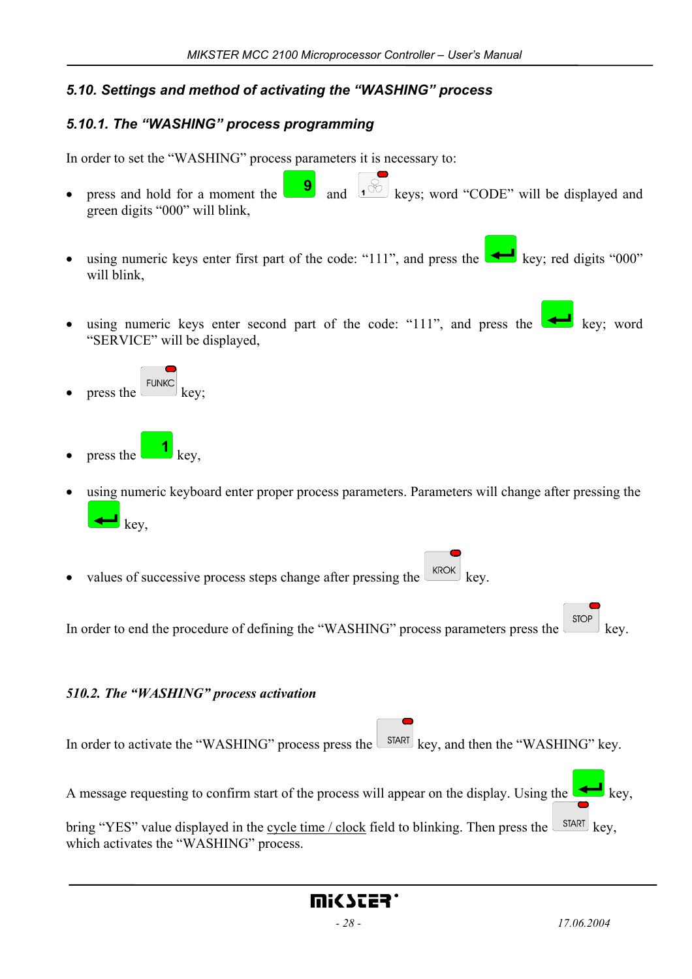# *5.10. Settings and method of activating the "WASHING" process*

# *5.10.1. The "WASHING" process programming*

In order to set the "WASHING" process parameters it is necessary to:

- press and hold for a moment the  $\begin{bmatrix} 9 \\ 1 \end{bmatrix}$  and  $\begin{bmatrix} 1 \\ 0 \end{bmatrix}$  keys; word "CODE" will be displayed and green digits "000" will blink,
- using numeric keys enter first part of the code: "111", and press the key; red digits "000" will blink,
- using numeric keys enter second part of the code: "111", and press the  $\leftarrow$  key; word "SERVICE" will be displayed,
- press the  $\left[\begin{array}{c} \text{FUNKC} \\ \text{keV} \end{array}\right]$
- press the  $\Box$  key,
- using numeric keyboard enter proper process parameters. Parameters will change after pressing the key,
- values of successive process steps change after pressing the  $\sqrt{k_{\text{ROK}}}\$

In order to end the procedure of defining the "WASHING" process parameters press the  $\frac{1 \text{ stop}}{\text{key}}$  key.

#### *510.2. The "WASHING" process activation*

| In order to activate the "WASHING" process press the $\sqrt{\frac{SIART}{S}}$ key, and then the "WASHING" key.                                                   |
|------------------------------------------------------------------------------------------------------------------------------------------------------------------|
| A message requesting to confirm start of the process will appear on the display. Using the $\left($                                                              |
| bring "YES" value displayed in the cycle time / clock field to blinking. Then press the $\sqrt{\frac{SITART}{S}}$ key.<br>which activates the "WASHING" process. |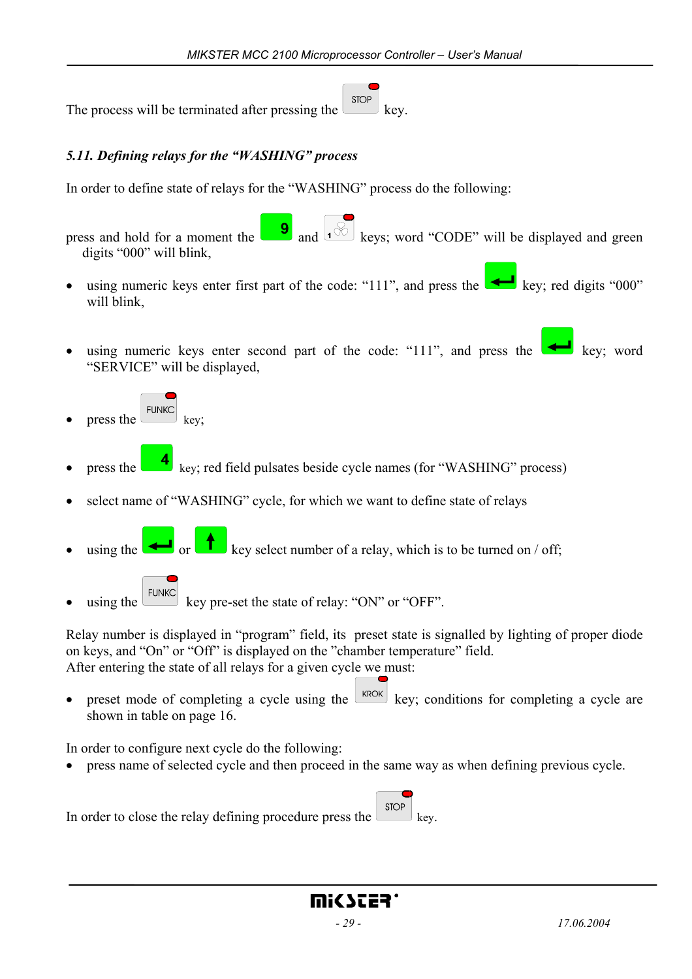**STOP** The process will be terminated after pressing the  $k$ ey.

## *5.11. Defining relays for the "WASHING" process*

In order to define state of relays for the "WASHING" process do the following:

press and hold for a moment the  $\begin{bmatrix} 9 \\ 0 \end{bmatrix}$  and  $\begin{bmatrix} 6 \\ 0 \end{bmatrix}$  keys; word "CODE" will be displayed and green digits "000" will blink,

- using numeric keys enter first part of the code: "111", and press the key; red digits "000" will blink,
- using numeric keys enter second part of the code: "111", and press the  $\Box$  key; word "SERVICE" will be displayed,
- press the  $\begin{bmatrix} \text{FUNKC} \\ \text{key} \end{bmatrix}$  key;
- press the key; red field pulsates beside cycle names (for "WASHING" process)
- select name of "WASHING" cycle, for which we want to define state of relays
- using the or key select number of a relay, which is to be turned on / off;
- using the  $\epsilon$  FUNKC key pre-set the state of relay: "ON" or "OFF".

Relay number is displayed in "program" field, its preset state is signalled by lighting of proper diode on keys, and "On" or "Off" is displayed on the "chamber temperature" field. After entering the state of all relays for a given cycle we must:

preset mode of completing a cycle using the  $k_{\text{ROK}}$  key; conditions for completing a cycle are shown in table on page 16.

In order to configure next cycle do the following:

• press name of selected cycle and then proceed in the same way as when defining previous cycle.

In order to close the relay defining procedure press the  $\Box$  key.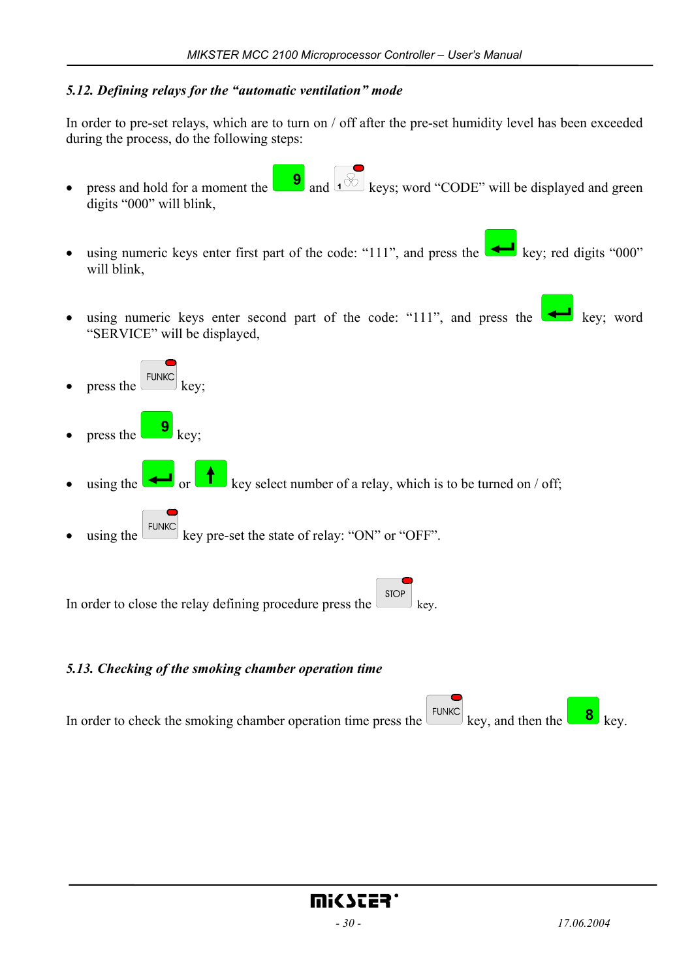#### *5.12. Defining relays for the "automatic ventilation" mode*

In order to pre-set relays, which are to turn on / off after the pre-set humidity level has been exceeded during the process, do the following steps:

- press and hold for a moment the  $\begin{bmatrix} 9 \\ 0 \end{bmatrix}$  and  $\begin{bmatrix} 1 & \sqrt{6} \\ 0 & \sqrt{6} \\ 0 & \sqrt{6} \\ 0 & \sqrt{6} \\ 0 & \sqrt{6} \\ 0 & \sqrt{6} \\ 0 & \sqrt{6} \\ 0 & \sqrt{6} \\ 0 & \sqrt{6} \\ 0 & \sqrt{6} \\ 0 & \sqrt{6} \\ 0 & \sqrt{6} \\ 0 & \sqrt{6} \\ 0 & \sqrt{6} \\ 0 & \sqrt{6} \\ 0 & \sqrt{6} \\ 0 & \sqrt{6} \\ 0 &$ digits "000" will blink,
- using numeric keys enter first part of the code: "111", and press the key; red digits "000" will blink,
- using numeric keys enter second part of the code: "111", and press the  $\bullet$  key; word "SERVICE" will be displayed,
- press the  $\left[\frac{\text{FUNKC}}{\text{keV}}\right]$  key; press the  $\begin{bmatrix} 9 \\ \end{bmatrix}$  key; • using the or key select number of a relay, which is to be turned on / off; using the  $\epsilon$ <sup>EUNKC</sup> key pre-set the state of relay: "ON" or "OFF".

**STOP** In order to close the relay defining procedure press the  $\Box$  key.

#### *5.13. Checking of the smoking chamber operation time*

In order to check the smoking chamber operation time press the  $\frac{[FUNKC]}{key}$  key, and then the  $\frac{8}{\sqrt{3}}$  key.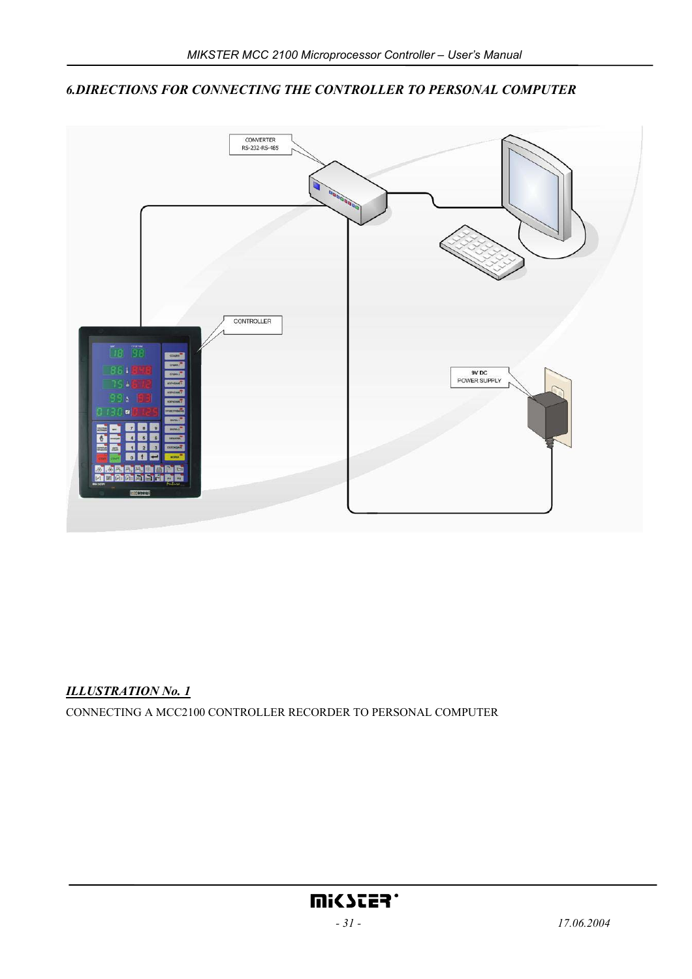

#### *6.DIRECTIONS FOR CONNECTING THE CONTROLLER TO PERSONAL COMPUTER*

#### *ILLUSTRATION No. 1*

CONNECTING A MCC2100 CONTROLLER RECORDER TO PERSONAL COMPUTER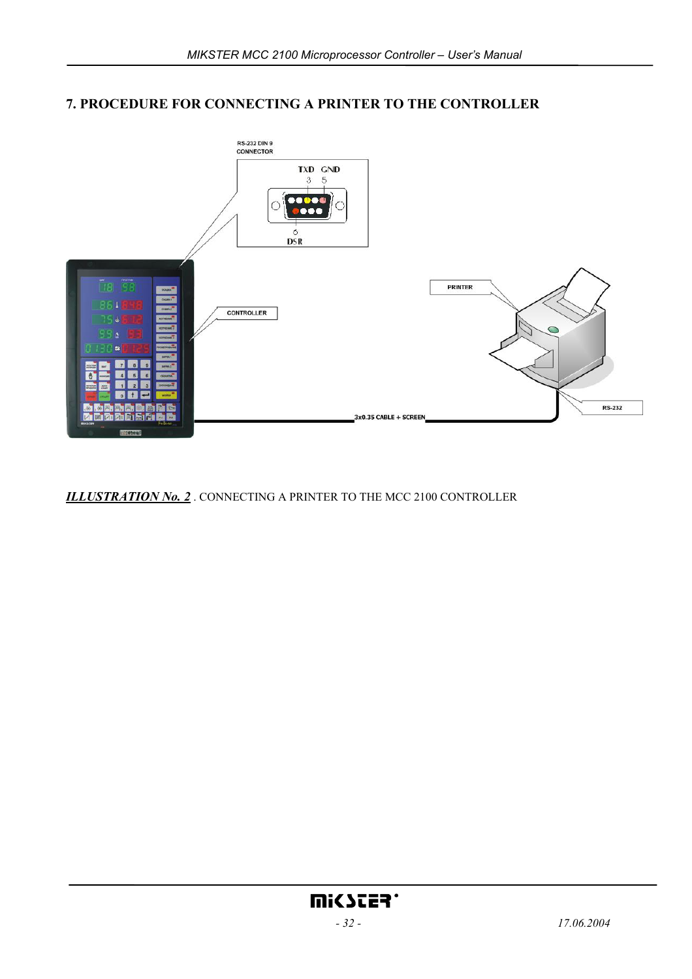## **7. PROCEDURE FOR CONNECTING A PRINTER TO THE CONTROLLER**



*ILLUSTRATION No. 2* . CONNECTING A PRINTER TO THE MCC 2100 CONTROLLER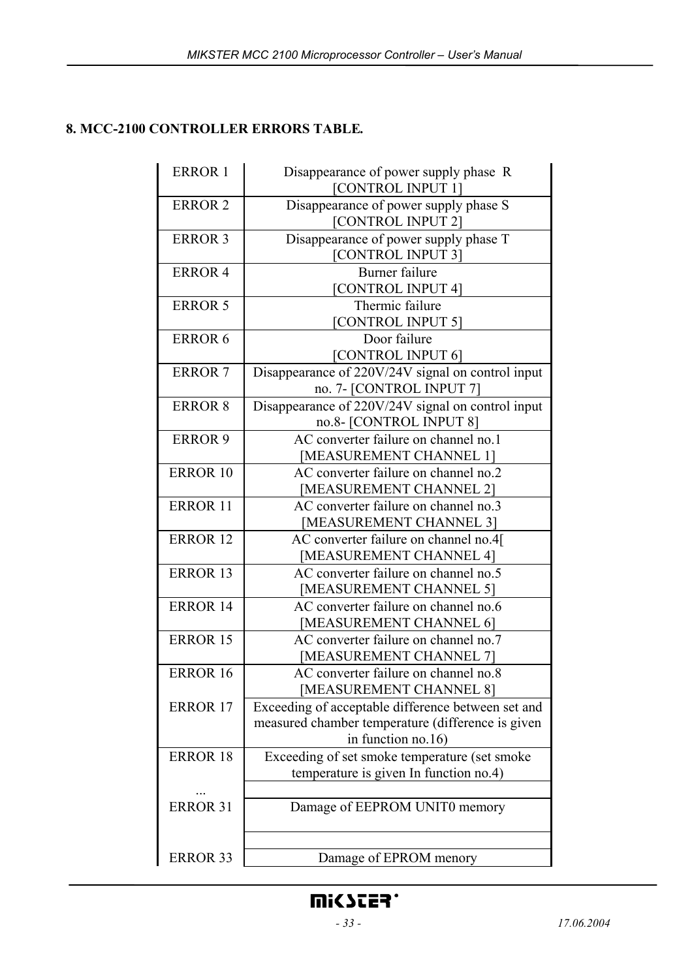## **8. MCC-2100 CONTROLLER ERRORS TABLE***.*

| <b>ERROR 1</b>  | Disappearance of power supply phase R<br>[CONTROL INPUT 1]                                                                    |
|-----------------|-------------------------------------------------------------------------------------------------------------------------------|
| <b>ERROR 2</b>  | Disappearance of power supply phase S<br>[CONTROL INPUT 2]                                                                    |
| <b>ERROR 3</b>  | Disappearance of power supply phase T<br>[CONTROL INPUT 3]                                                                    |
| <b>ERROR 4</b>  | Burner failure<br>[CONTROL INPUT 4]                                                                                           |
| <b>ERROR 5</b>  | Thermic failure<br>[CONTROL INPUT 5]                                                                                          |
| <b>ERROR 6</b>  | Door failure<br>[CONTROL INPUT 6]                                                                                             |
| <b>ERROR 7</b>  | Disappearance of 220V/24V signal on control input<br>no. 7- [CONTROL INPUT 7]                                                 |
| <b>ERROR 8</b>  | Disappearance of 220V/24V signal on control input<br>no.8- [CONTROL INPUT 8]                                                  |
| <b>ERROR 9</b>  | AC converter failure on channel no.1<br>[MEASUREMENT CHANNEL 1]                                                               |
| <b>ERROR 10</b> | AC converter failure on channel no.2<br>[MEASUREMENT CHANNEL 2]                                                               |
| <b>ERROR 11</b> | AC converter failure on channel no.3<br>[MEASUREMENT CHANNEL 3]                                                               |
| <b>ERROR 12</b> | AC converter failure on channel no.4[<br>[MEASUREMENT CHANNEL 4]                                                              |
| <b>ERROR 13</b> | AC converter failure on channel no.5<br>[MEASUREMENT CHANNEL 5]                                                               |
| <b>ERROR 14</b> | AC converter failure on channel no.6<br>[MEASUREMENT CHANNEL 6]                                                               |
| <b>ERROR 15</b> | AC converter failure on channel no.7<br>[MEASUREMENT CHANNEL 7]                                                               |
| <b>ERROR 16</b> | AC converter failure on channel no.8<br>[MEASUREMENT CHANNEL 8]                                                               |
| <b>ERROR 17</b> | Exceeding of acceptable difference between set and<br>measured chamber temperature (difference is given<br>in function no.16) |
| <b>ERROR 18</b> | Exceeding of set smoke temperature (set smoke<br>temperature is given In function no.4)                                       |
| <b>ERROR 31</b> | Damage of EEPROM UNIT0 memory                                                                                                 |
| <b>ERROR 33</b> | Damage of EPROM menory                                                                                                        |